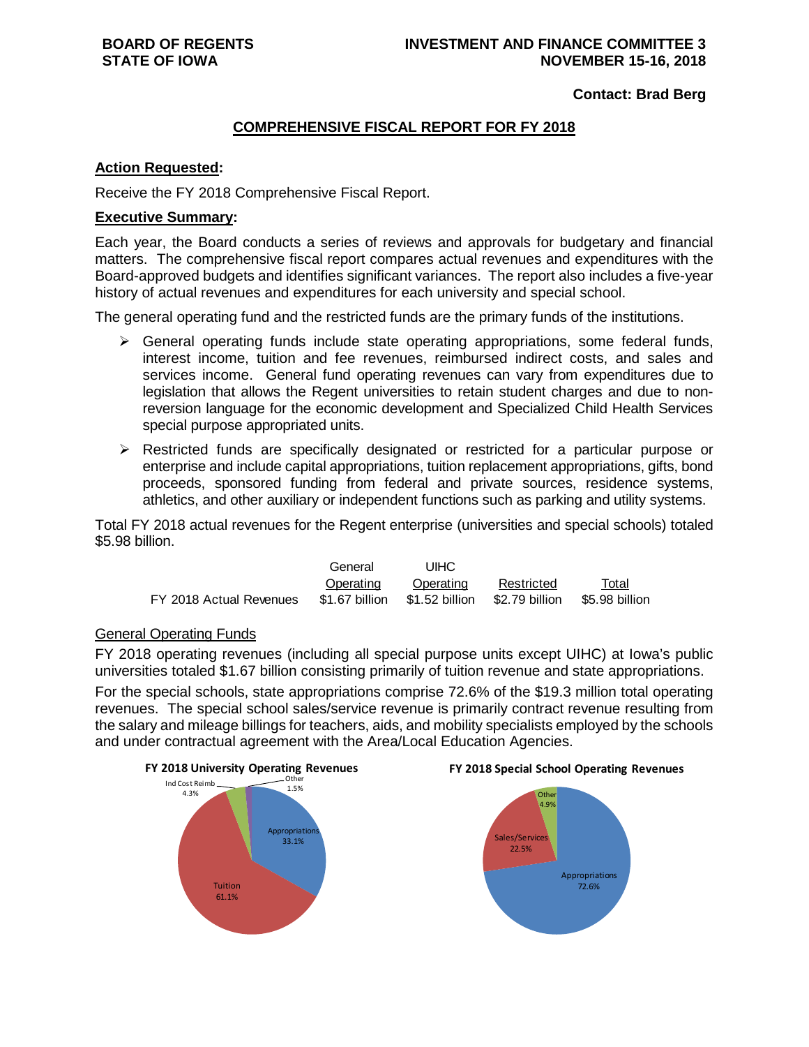**Contact: Brad Berg**

### **COMPREHENSIVE FISCAL REPORT FOR FY 2018**

#### **Action Requested:**

Receive the FY 2018 Comprehensive Fiscal Report.

#### **Executive Summary:**

Each year, the Board conducts a series of reviews and approvals for budgetary and financial matters. The comprehensive fiscal report compares actual revenues and expenditures with the Board-approved budgets and identifies significant variances. The report also includes a five-year history of actual revenues and expenditures for each university and special school.

The general operating fund and the restricted funds are the primary funds of the institutions.

- $\triangleright$  General operating funds include state operating appropriations, some federal funds, interest income, tuition and fee revenues, reimbursed indirect costs, and sales and services income. General fund operating revenues can vary from expenditures due to legislation that allows the Regent universities to retain student charges and due to nonreversion language for the economic development and Specialized Child Health Services special purpose appropriated units.
- $\triangleright$  Restricted funds are specifically designated or restricted for a particular purpose or enterprise and include capital appropriations, tuition replacement appropriations, gifts, bond proceeds, sponsored funding from federal and private sources, residence systems, athletics, and other auxiliary or independent functions such as parking and utility systems.

Total FY 2018 actual revenues for the Regent enterprise (universities and special schools) totaled \$5.98 billion.

|                         | General        | UIHC                          |            |                |
|-------------------------|----------------|-------------------------------|------------|----------------|
|                         | Operating      | Operating                     | Restricted | Total          |
| FY 2018 Actual Revenues | \$1.67 billion | \$1.52 billion \$2.79 billion |            | \$5.98 billion |

#### General Operating Funds

FY 2018 operating revenues (including all special purpose units except UIHC) at Iowa's public universities totaled \$1.67 billion consisting primarily of tuition revenue and state appropriations.

For the special schools, state appropriations comprise 72.6% of the \$19.3 million total operating revenues. The special school sales/service revenue is primarily contract revenue resulting from the salary and mileage billings for teachers, aids, and mobility specialists employed by the schools and under contractual agreement with the Area/Local Education Agencies.





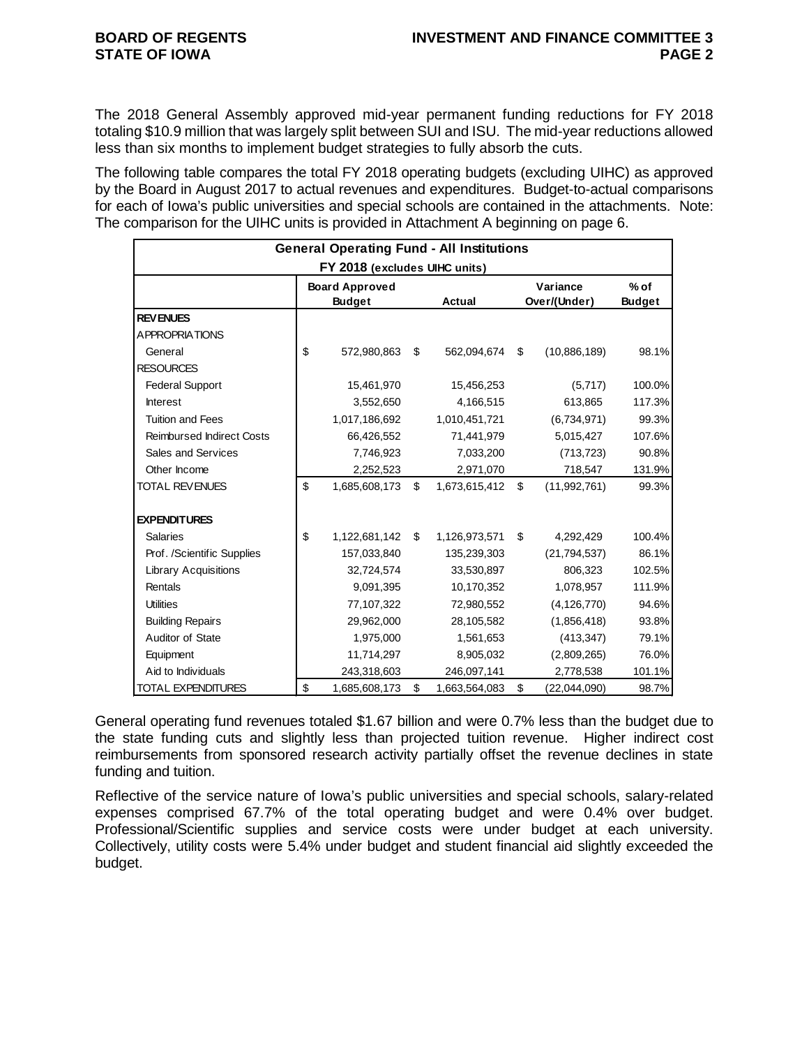The 2018 General Assembly approved mid-year permanent funding reductions for FY 2018 totaling \$10.9 million that was largely split between SUI and ISU. The mid-year reductions allowed less than six months to implement budget strategies to fully absorb the cuts.

The following table compares the total FY 2018 operating budgets (excluding UIHC) as approved by the Board in August 2017 to actual revenues and expenditures. Budget-to-actual comparisons for each of Iowa's public universities and special schools are contained in the attachments. Note: The comparison for the UIHC units is provided in Attachment A beginning on page 6.

|                                  | <b>General Operating Fund - All Institutions</b> |                     |                          |                         |
|----------------------------------|--------------------------------------------------|---------------------|--------------------------|-------------------------|
|                                  | FY 2018 (excludes UIHC units)                    |                     |                          |                         |
|                                  | <b>Board Approved</b><br><b>Budget</b>           | Actual              | Variance<br>Over/(Under) | $%$ of<br><b>Budget</b> |
| <b>REVENUES</b>                  |                                                  |                     |                          |                         |
| <b>APPROPRIATIONS</b>            |                                                  |                     |                          |                         |
| General                          | \$<br>572,980,863                                | \$<br>562,094,674   | \$<br>(10,886,189)       | 98.1%                   |
| <b>RESOURCES</b>                 |                                                  |                     |                          |                         |
| <b>Federal Support</b>           | 15,461,970                                       | 15,456,253          | (5,717)                  | 100.0%                  |
| <b>Interest</b>                  | 3,552,650                                        | 4,166,515           | 613,865                  | 117.3%                  |
| <b>Tuition and Fees</b>          | 1,017,186,692                                    | 1,010,451,721       | (6,734,971)              | 99.3%                   |
| <b>Reimbursed Indirect Costs</b> | 66,426,552                                       | 71,441,979          | 5,015,427                | 107.6%                  |
| Sales and Services               | 7,746,923                                        | 7,033,200           | (713, 723)               | 90.8%                   |
| Other Income                     | 2,252,523                                        | 2,971,070           | 718,547                  | 131.9%                  |
| <b>TOTAL REVENUES</b>            | \$<br>1,685,608,173                              | \$<br>1,673,615,412 | \$<br>(11,992,761)       | 99.3%                   |
| <b>EXPENDITURES</b>              |                                                  |                     |                          |                         |
| <b>Salaries</b>                  | \$<br>1,122,681,142                              | \$<br>1,126,973,571 | \$<br>4,292,429          | 100.4%                  |
| Prof. /Scientific Supplies       | 157,033,840                                      | 135,239,303         | (21, 794, 537)           | 86.1%                   |
| <b>Library Acquisitions</b>      | 32,724,574                                       | 33,530,897          | 806,323                  | 102.5%                  |
| Rentals                          | 9,091,395                                        | 10,170,352          | 1,078,957                | 111.9%                  |
| <b>Utilities</b>                 | 77,107,322                                       | 72,980,552          | (4, 126, 770)            | 94.6%                   |
| <b>Building Repairs</b>          | 29,962,000                                       | 28,105,582          | (1,856,418)              | 93.8%                   |
| Auditor of State                 | 1,975,000                                        | 1,561,653           | (413, 347)               | 79.1%                   |
| Equipment                        | 11,714,297                                       | 8,905,032           | (2,809,265)              | 76.0%                   |
| Aid to Individuals               | 243,318,603                                      | 246,097,141         | 2,778,538                | 101.1%                  |
| <b>TOTAL EXPENDITURES</b>        | \$<br>1,685,608,173                              | \$<br>1,663,564,083 | \$<br>(22,044,090)       | 98.7%                   |

General operating fund revenues totaled \$1.67 billion and were 0.7% less than the budget due to the state funding cuts and slightly less than projected tuition revenue. Higher indirect cost reimbursements from sponsored research activity partially offset the revenue declines in state funding and tuition.

Reflective of the service nature of Iowa's public universities and special schools, salary-related expenses comprised 67.7% of the total operating budget and were 0.4% over budget. Professional/Scientific supplies and service costs were under budget at each university. Collectively, utility costs were 5.4% under budget and student financial aid slightly exceeded the budget.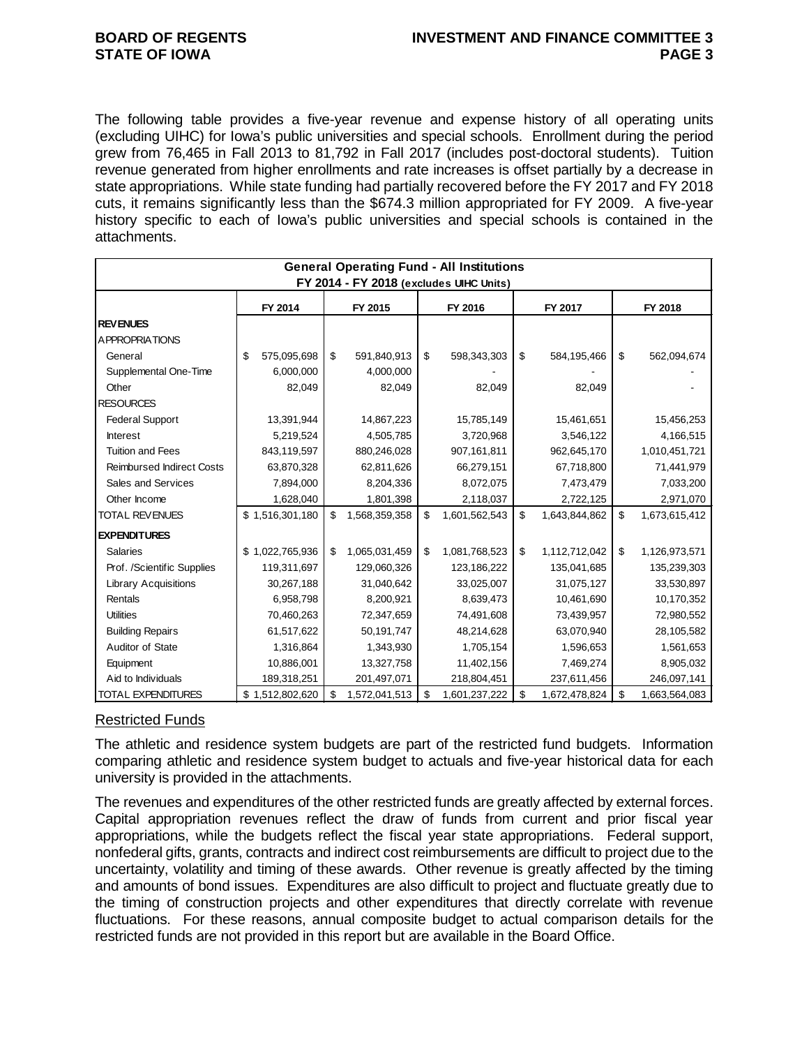The following table provides a five-year revenue and expense history of all operating units (excluding UIHC) for Iowa's public universities and special schools. Enrollment during the period grew from 76,465 in Fall 2013 to 81,792 in Fall 2017 (includes post-doctoral students). Tuition revenue generated from higher enrollments and rate increases is offset partially by a decrease in state appropriations. While state funding had partially recovered before the FY 2017 and FY 2018 cuts, it remains significantly less than the \$674.3 million appropriated for FY 2009. A five-year history specific to each of Iowa's public universities and special schools is contained in the attachments.

|                                  | <b>General Operating Fund - All Institutions</b> |    |               |    |                                         |    |               |    |               |  |  |  |
|----------------------------------|--------------------------------------------------|----|---------------|----|-----------------------------------------|----|---------------|----|---------------|--|--|--|
|                                  |                                                  |    |               |    | FY 2014 - FY 2018 (excludes UIHC Units) |    |               |    |               |  |  |  |
|                                  | FY 2014                                          |    | FY 2015       |    | FY 2016                                 |    | FY 2017       |    | FY 2018       |  |  |  |
| <b>REV ENUES</b>                 |                                                  |    |               |    |                                         |    |               |    |               |  |  |  |
| A PPROPRIATIONS                  |                                                  |    |               |    |                                         |    |               |    |               |  |  |  |
| General                          | \$<br>575,095,698                                | \$ | 591,840,913   | \$ | 598,343,303                             | \$ | 584,195,466   | \$ | 562,094,674   |  |  |  |
| Supplemental One-Time            | 6,000,000                                        |    | 4,000,000     |    |                                         |    |               |    |               |  |  |  |
| Other                            | 82,049                                           |    | 82,049        |    | 82,049                                  |    | 82,049        |    |               |  |  |  |
| <b>RESOURCES</b>                 |                                                  |    |               |    |                                         |    |               |    |               |  |  |  |
| <b>Federal Support</b>           | 13,391,944                                       |    | 14,867,223    |    | 15,785,149                              |    | 15,461,651    |    | 15,456,253    |  |  |  |
| <b>Interest</b>                  | 5,219,524                                        |    | 4,505,785     |    | 3,720,968                               |    | 3,546,122     |    | 4,166,515     |  |  |  |
| <b>Tuition and Fees</b>          | 843,119,597                                      |    | 880,246,028   |    | 907,161,811                             |    | 962,645,170   |    | 1,010,451,721 |  |  |  |
| <b>Reimbursed Indirect Costs</b> | 63,870,328                                       |    | 62,811,626    |    | 66,279,151                              |    | 67,718,800    |    | 71,441,979    |  |  |  |
| Sales and Services               | 7,894,000                                        |    | 8,204,336     |    | 8,072,075                               |    | 7,473,479     |    | 7,033,200     |  |  |  |
| Other Income                     | 1,628,040                                        |    | 1,801,398     |    | 2,118,037                               |    | 2,722,125     |    | 2,971,070     |  |  |  |
| <b>TOTAL REVENUES</b>            | \$1,516,301,180                                  | \$ | 1,568,359,358 | \$ | 1,601,562,543                           | \$ | 1,643,844,862 | \$ | 1,673,615,412 |  |  |  |
| <b>EXPENDITURES</b>              |                                                  |    |               |    |                                         |    |               |    |               |  |  |  |
| <b>Salaries</b>                  | \$1,022,765,936                                  | \$ | 1,065,031,459 | \$ | 1,081,768,523                           | \$ | 1,112,712,042 | \$ | 1,126,973,571 |  |  |  |
| Prof. /Scientific Supplies       | 119,311,697                                      |    | 129,060,326   |    | 123,186,222                             |    | 135,041,685   |    | 135,239,303   |  |  |  |
| <b>Library Acquisitions</b>      | 30,267,188                                       |    | 31,040,642    |    | 33,025,007                              |    | 31,075,127    |    | 33,530,897    |  |  |  |
| Rentals                          | 6,958,798                                        |    | 8,200,921     |    | 8,639,473                               |    | 10,461,690    |    | 10,170,352    |  |  |  |
| <b>Utilities</b>                 | 70,460,263                                       |    | 72,347,659    |    | 74,491,608                              |    | 73,439,957    |    | 72,980,552    |  |  |  |
| <b>Building Repairs</b>          | 61,517,622                                       |    | 50,191,747    |    | 48,214,628                              |    | 63,070,940    |    | 28,105,582    |  |  |  |
| Auditor of State                 | 1,316,864                                        |    | 1,343,930     |    | 1,705,154                               |    | 1,596,653     |    | 1,561,653     |  |  |  |
| Equipment                        | 10,886,001                                       |    | 13,327,758    |    | 11,402,156                              |    | 7,469,274     |    | 8,905,032     |  |  |  |
| Aid to Individuals               | 189,318,251                                      |    | 201,497,071   |    | 218,804,451                             |    | 237,611,456   |    | 246,097,141   |  |  |  |
| TOTAL EXPENDITURES               | \$1,512,802,620                                  | \$ | 1,572,041,513 | \$ | 1,601,237,222                           | \$ | 1,672,478,824 | \$ | 1,663,564,083 |  |  |  |

#### Restricted Funds

The athletic and residence system budgets are part of the restricted fund budgets. Information comparing athletic and residence system budget to actuals and five-year historical data for each university is provided in the attachments.

The revenues and expenditures of the other restricted funds are greatly affected by external forces. Capital appropriation revenues reflect the draw of funds from current and prior fiscal year appropriations, while the budgets reflect the fiscal year state appropriations. Federal support, nonfederal gifts, grants, contracts and indirect cost reimbursements are difficult to project due to the uncertainty, volatility and timing of these awards. Other revenue is greatly affected by the timing and amounts of bond issues. Expenditures are also difficult to project and fluctuate greatly due to the timing of construction projects and other expenditures that directly correlate with revenue fluctuations. For these reasons, annual composite budget to actual comparison details for the restricted funds are not provided in this report but are available in the Board Office.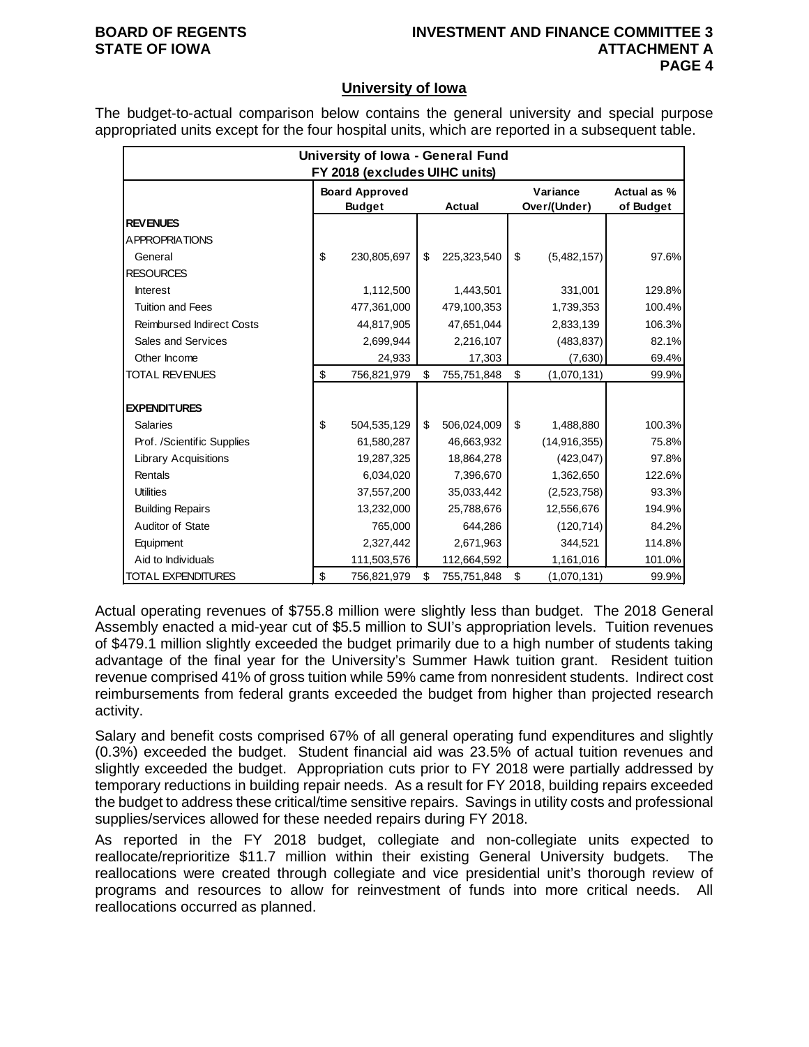### **BOARD OF REGENTS INVESTMENT AND FINANCE COMMITTEE 3 STATE OF IOWA ATTACHMENT A PAGE 4**

### **University of Iowa**

The budget-to-actual comparison below contains the general university and special purpose appropriated units except for the four hospital units, which are reported in a subsequent table.

|                                  | University of Iowa - General Fund |                               |    |             |    |                |             |  |  |  |  |  |
|----------------------------------|-----------------------------------|-------------------------------|----|-------------|----|----------------|-------------|--|--|--|--|--|
|                                  |                                   | FY 2018 (excludes UIHC units) |    |             |    |                |             |  |  |  |  |  |
|                                  |                                   | <b>Board Approved</b>         |    |             |    | Variance       | Actual as % |  |  |  |  |  |
|                                  |                                   | <b>Budget</b>                 |    | Actual      |    | Over/(Under)   | of Budget   |  |  |  |  |  |
| <b>REVENUES</b>                  |                                   |                               |    |             |    |                |             |  |  |  |  |  |
| <b>APPROPRIATIONS</b>            |                                   |                               |    |             |    |                |             |  |  |  |  |  |
| General                          | \$                                | 230,805,697                   | \$ | 225,323,540 | \$ | (5,482,157)    | 97.6%       |  |  |  |  |  |
| <b>RESOURCES</b>                 |                                   |                               |    |             |    |                |             |  |  |  |  |  |
| <b>Interest</b>                  |                                   | 1,112,500                     |    | 1,443,501   |    | 331,001        | 129.8%      |  |  |  |  |  |
| <b>Tuition and Fees</b>          |                                   | 477,361,000                   |    | 479,100,353 |    | 1,739,353      | 100.4%      |  |  |  |  |  |
| <b>Reimbursed Indirect Costs</b> |                                   | 44,817,905                    |    | 47,651,044  |    | 2,833,139      | 106.3%      |  |  |  |  |  |
| Sales and Services               |                                   | 2,699,944                     |    | 2,216,107   |    | (483, 837)     | 82.1%       |  |  |  |  |  |
| Other Income                     |                                   | 24,933                        |    | 17,303      |    | (7,630)        | 69.4%       |  |  |  |  |  |
| <b>TOTAL REVENUES</b>            | \$                                | 756,821,979                   | \$ | 755,751,848 | \$ | (1,070,131)    | 99.9%       |  |  |  |  |  |
|                                  |                                   |                               |    |             |    |                |             |  |  |  |  |  |
| <b>EXPENDITURES</b>              |                                   |                               |    |             |    |                |             |  |  |  |  |  |
| <b>Salaries</b>                  | \$                                | 504,535,129                   | \$ | 506,024,009 | \$ | 1,488,880      | 100.3%      |  |  |  |  |  |
| Prof. /Scientific Supplies       |                                   | 61,580,287                    |    | 46,663,932  |    | (14, 916, 355) | 75.8%       |  |  |  |  |  |
| <b>Library Acquisitions</b>      |                                   | 19,287,325                    |    | 18,864,278  |    | (423, 047)     | 97.8%       |  |  |  |  |  |
| Rentals                          |                                   | 6,034,020                     |    | 7,396,670   |    | 1,362,650      | 122.6%      |  |  |  |  |  |
| <b>Utilities</b>                 |                                   | 37,557,200                    |    | 35,033,442  |    | (2,523,758)    | 93.3%       |  |  |  |  |  |
| <b>Building Repairs</b>          |                                   | 13,232,000                    |    | 25,788,676  |    | 12,556,676     | 194.9%      |  |  |  |  |  |
| Auditor of State                 |                                   | 765,000                       |    | 644,286     |    | (120, 714)     | 84.2%       |  |  |  |  |  |
| Equipment                        |                                   | 2,327,442                     |    | 2,671,963   |    | 344,521        | 114.8%      |  |  |  |  |  |
| Aid to Individuals               |                                   | 111,503,576                   |    | 112,664,592 |    | 1,161,016      | 101.0%      |  |  |  |  |  |
| TOTAL EXPENDITURES               | \$                                | 756,821,979                   | \$ | 755,751,848 | \$ | (1,070,131)    | 99.9%       |  |  |  |  |  |

Actual operating revenues of \$755.8 million were slightly less than budget. The 2018 General Assembly enacted a mid-year cut of \$5.5 million to SUI's appropriation levels. Tuition revenues of \$479.1 million slightly exceeded the budget primarily due to a high number of students taking advantage of the final year for the University's Summer Hawk tuition grant. Resident tuition revenue comprised 41% of gross tuition while 59% came from nonresident students. Indirect cost reimbursements from federal grants exceeded the budget from higher than projected research activity.

Salary and benefit costs comprised 67% of all general operating fund expenditures and slightly (0.3%) exceeded the budget. Student financial aid was 23.5% of actual tuition revenues and slightly exceeded the budget. Appropriation cuts prior to FY 2018 were partially addressed by temporary reductions in building repair needs. As a result for FY 2018, building repairs exceeded the budget to address these critical/time sensitive repairs. Savings in utility costs and professional supplies/services allowed for these needed repairs during FY 2018.

As reported in the FY 2018 budget, collegiate and non-collegiate units expected to reallocate/reprioritize \$11.7 million within their existing General University budgets. The reallocations were created through collegiate and vice presidential unit's thorough review of programs and resources to allow for reinvestment of funds into more critical needs. All reallocations occurred as planned.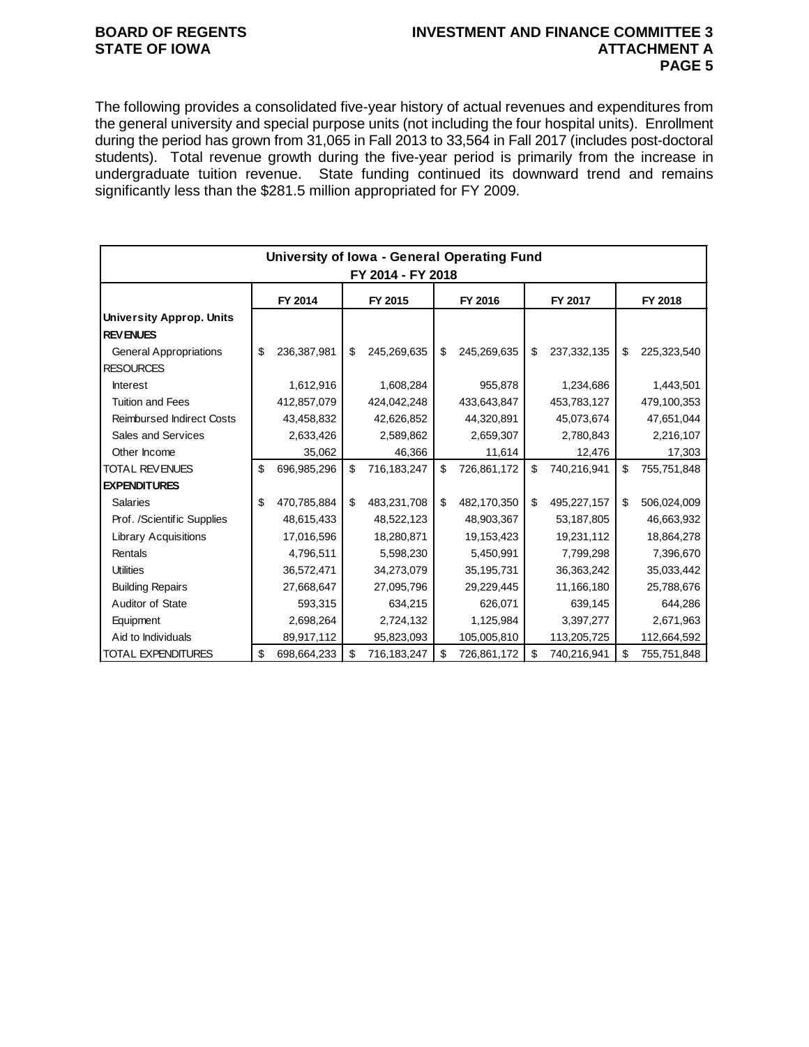# **STATE OF IOWA**

## **BOARD OF REGENTS INVESTMENT AND FINANCE COMMITTEE 3 PAGE 5**

The following provides a consolidated five-year history of actual revenues and expenditures from the general university and special purpose units (not including the four hospital units). Enrollment during the period has grown from 31,065 in Fall 2013 to 33,564 in Fall 2017 (includes post-doctoral students). Total revenue growth during the five-year period is primarily from the increase in undergraduate tuition revenue. State funding continued its downward trend and remains significantly less than the \$281.5 million appropriated for FY 2009.

|                                  |    | University of Iowa - General Operating Fund |    |             |    |             |    |             |                |             |  |  |
|----------------------------------|----|---------------------------------------------|----|-------------|----|-------------|----|-------------|----------------|-------------|--|--|
| FY 2014 - FY 2018                |    |                                             |    |             |    |             |    |             |                |             |  |  |
|                                  |    | FY 2014                                     |    | FY 2015     |    | FY 2016     |    | FY 2017     |                | FY 2018     |  |  |
| <b>University Approp. Units</b>  |    |                                             |    |             |    |             |    |             |                |             |  |  |
| <b>REVENUES</b>                  |    |                                             |    |             |    |             |    |             |                |             |  |  |
| <b>General Appropriations</b>    | \$ | 236,387,981                                 | \$ | 245,269,635 | \$ | 245,269,635 | \$ | 237,332,135 | \$             | 225,323,540 |  |  |
| <b>RESOURCES</b>                 |    |                                             |    |             |    |             |    |             |                |             |  |  |
| <b>Interest</b>                  |    | 1,612,916                                   |    | 1,608,284   |    | 955,878     |    | 1,234,686   |                | 1,443,501   |  |  |
| <b>Tuition and Fees</b>          |    | 412,857,079                                 |    | 424,042,248 |    | 433,643,847 |    | 453,783,127 |                | 479,100,353 |  |  |
| <b>Reimbursed Indirect Costs</b> |    | 43,458,832                                  |    | 42,626,852  |    | 44,320,891  |    | 45,073,674  |                | 47,651,044  |  |  |
| Sales and Services               |    | 2,633,426                                   |    | 2,589,862   |    | 2,659,307   |    | 2,780,843   |                | 2,216,107   |  |  |
| Other Income                     |    | 35,062                                      |    | 46,366      |    | 11,614      |    | 12,476      |                | 17,303      |  |  |
| TOTAL REVENUES                   | \$ | 696,985,296                                 | \$ | 716,183,247 | \$ | 726,861,172 | \$ | 740,216,941 | \$             | 755,751,848 |  |  |
| <b>EXPENDITURES</b>              |    |                                             |    |             |    |             |    |             |                |             |  |  |
| <b>Salaries</b>                  | \$ | 470,785,884                                 | \$ | 483,231,708 | \$ | 482,170,350 | \$ | 495,227,157 | $\mathfrak{S}$ | 506,024,009 |  |  |
| Prof. /Scientific Supplies       |    | 48,615,433                                  |    | 48,522,123  |    | 48,903,367  |    | 53,187,805  |                | 46,663,932  |  |  |
| <b>Library Acquisitions</b>      |    | 17,016,596                                  |    | 18,280,871  |    | 19,153,423  |    | 19,231,112  |                | 18,864,278  |  |  |
| Rentals                          |    | 4,796,511                                   |    | 5,598,230   |    | 5,450,991   |    | 7,799,298   |                | 7,396,670   |  |  |
| <b>Utilities</b>                 |    | 36,572,471                                  |    | 34,273,079  |    | 35,195,731  |    | 36,363,242  |                | 35,033,442  |  |  |
| <b>Building Repairs</b>          |    | 27,668,647                                  |    | 27,095,796  |    | 29,229,445  |    | 11,166,180  |                | 25,788,676  |  |  |
| Auditor of State                 |    | 593,315                                     |    | 634,215     |    | 626,071     |    | 639,145     |                | 644,286     |  |  |
| Equipment                        |    | 2,698,264                                   |    | 2,724,132   |    | 1,125,984   |    | 3,397,277   |                | 2,671,963   |  |  |
| Aid to Individuals               |    | 89,917,112                                  |    | 95,823,093  |    | 105,005,810 |    | 113,205,725 |                | 112,664,592 |  |  |
| <b>TOTAL EXPENDITURES</b>        | \$ | 698,664,233                                 | \$ | 716,183,247 | \$ | 726,861,172 | \$ | 740,216,941 | \$             | 755,751,848 |  |  |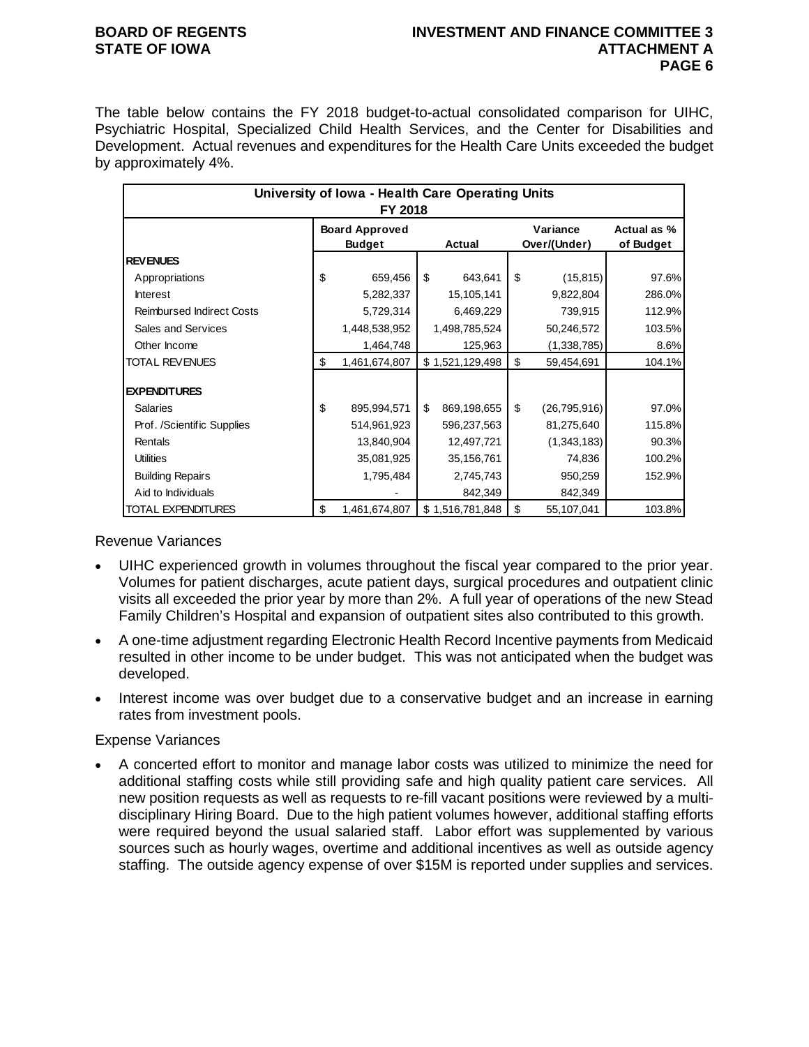### **BOARD OF REGENTS INVESTMENT AND FINANCE COMMITTEE 3 STATE OF IOWA ATTACHMENT A PAGE 6**

The table below contains the FY 2018 budget-to-actual consolidated comparison for UIHC, Psychiatric Hospital, Specialized Child Health Services, and the Center for Disabilities and Development. Actual revenues and expenditures for the Health Care Units exceeded the budget by approximately 4%.

|                                  | University of Iowa - Health Care Operating Units<br>FY 2018 |                   |                          |                          |
|----------------------------------|-------------------------------------------------------------|-------------------|--------------------------|--------------------------|
|                                  | <b>Board Approved</b><br><b>Budget</b>                      | <b>Actual</b>     | Variance<br>Over/(Under) | Actual as %<br>of Budget |
| <b>REVENUES</b>                  |                                                             |                   |                          |                          |
| Appropriations                   | \$<br>659,456                                               | \$<br>643,641     | \$<br>(15, 815)          | 97.6%                    |
| <b>Interest</b>                  | 5,282,337                                                   | 15,105,141        | 9,822,804                | 286.0%                   |
| <b>Reimbursed Indirect Costs</b> | 5,729,314                                                   | 6,469,229         | 739,915                  | 112.9%                   |
| Sales and Services               | 1,448,538,952                                               | 1,498,785,524     | 50,246,572               | 103.5%                   |
| Other Income                     | 1,464,748                                                   | 125,963           | (1,338,785)              | 8.6%                     |
| TOTAL REVENUES                   | \$<br>1,461,674,807                                         | \$1,521,129,498   | \$<br>59,454,691         | 104.1%                   |
| <b>EXPENDITURES</b>              |                                                             |                   |                          |                          |
| <b>Salaries</b>                  | \$<br>895,994,571                                           | \$<br>869,198,655 | \$<br>(26, 795, 916)     | 97.0%                    |
| Prof. /Scientific Supplies       | 514,961,923                                                 | 596,237,563       | 81,275,640               | 115.8%                   |
| Rentals                          | 13,840,904                                                  | 12,497,721        | (1,343,183)              | 90.3%                    |
| <b>Utilities</b>                 | 35,081,925                                                  | 35,156,761        | 74,836                   | 100.2%                   |
| <b>Building Repairs</b>          | 1,795,484                                                   | 2,745,743         | 950,259                  | 152.9%                   |
| Aid to Individuals               |                                                             | 842,349           | 842,349                  |                          |
| TOTAL EXPENDITURES               | \$<br>1,461,674,807                                         | \$1,516,781,848   | \$<br>55,107,041         | 103.8%                   |

Revenue Variances

- UIHC experienced growth in volumes throughout the fiscal year compared to the prior year. Volumes for patient discharges, acute patient days, surgical procedures and outpatient clinic visits all exceeded the prior year by more than 2%. A full year of operations of the new Stead Family Children's Hospital and expansion of outpatient sites also contributed to this growth.
- A one-time adjustment regarding Electronic Health Record Incentive payments from Medicaid resulted in other income to be under budget. This was not anticipated when the budget was developed.
- Interest income was over budget due to a conservative budget and an increase in earning rates from investment pools.

### Expense Variances

• A concerted effort to monitor and manage labor costs was utilized to minimize the need for additional staffing costs while still providing safe and high quality patient care services. All new position requests as well as requests to re-fill vacant positions were reviewed by a multidisciplinary Hiring Board. Due to the high patient volumes however, additional staffing efforts were required beyond the usual salaried staff. Labor effort was supplemented by various sources such as hourly wages, overtime and additional incentives as well as outside agency staffing. The outside agency expense of over \$15M is reported under supplies and services.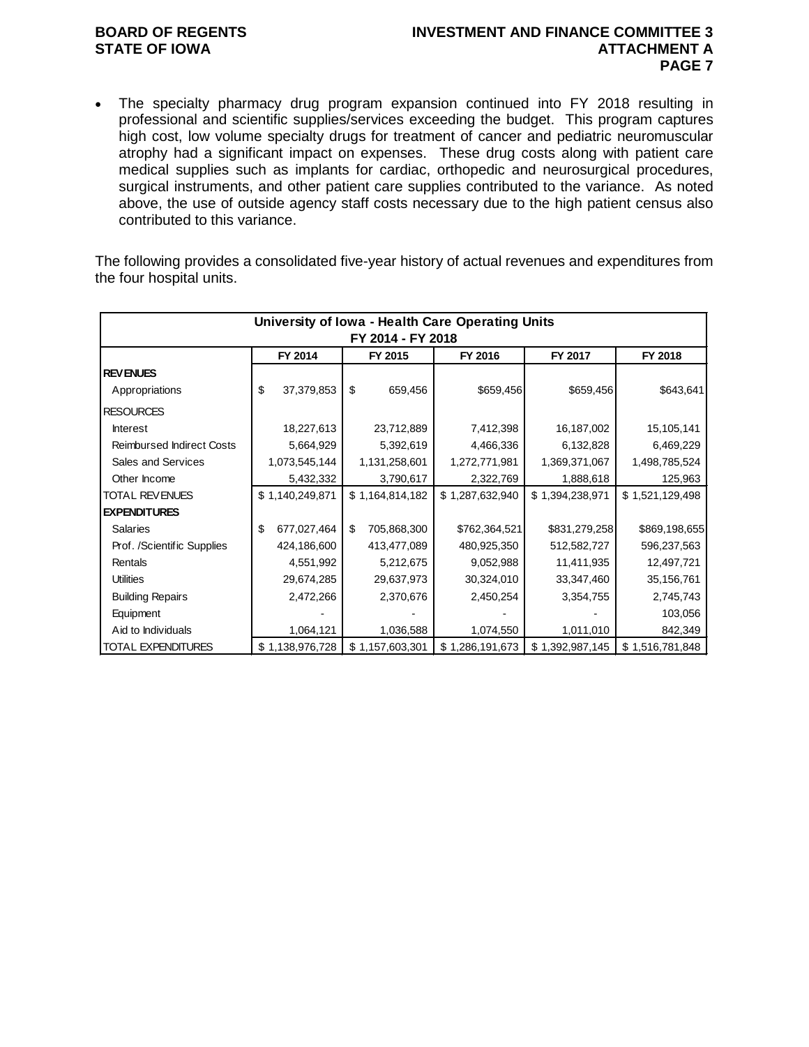# **STATE OF IOWA**

## **BOARD OF REGENTS INVESTMENT AND FINANCE COMMITTEE 3 PAGE 7**

• The specialty pharmacy drug program expansion continued into FY 2018 resulting in professional and scientific supplies/services exceeding the budget. This program captures high cost, low volume specialty drugs for treatment of cancer and pediatric neuromuscular atrophy had a significant impact on expenses. These drug costs along with patient care medical supplies such as implants for cardiac, orthopedic and neurosurgical procedures, surgical instruments, and other patient care supplies contributed to the variance. As noted above, the use of outside agency staff costs necessary due to the high patient census also contributed to this variance.

The following provides a consolidated five-year history of actual revenues and expenditures from the four hospital units.

|                                  |                   |                 |    |                 | University of Iowa - Health Care Operating Units |                 |                 |  |  |  |  |  |  |
|----------------------------------|-------------------|-----------------|----|-----------------|--------------------------------------------------|-----------------|-----------------|--|--|--|--|--|--|
|                                  | FY 2014 - FY 2018 |                 |    |                 |                                                  |                 |                 |  |  |  |  |  |  |
|                                  |                   | FY 2014         |    | FY 2015         | FY 2016                                          | FY 2017         | FY 2018         |  |  |  |  |  |  |
| <b>REVENUES</b>                  |                   |                 |    |                 |                                                  |                 |                 |  |  |  |  |  |  |
| Appropriations                   | \$                | 37,379,853      | \$ | 659,456         | \$659,456                                        | \$659,456       | \$643,641       |  |  |  |  |  |  |
| <b>RESOURCES</b>                 |                   |                 |    |                 |                                                  |                 |                 |  |  |  |  |  |  |
| Interest                         |                   | 18,227,613      |    | 23,712,889      | 7,412,398                                        | 16,187,002      | 15,105,141      |  |  |  |  |  |  |
| <b>Reimbursed Indirect Costs</b> |                   | 5,664,929       |    | 5,392,619       | 4,466,336                                        | 6,132,828       | 6,469,229       |  |  |  |  |  |  |
| Sales and Services               |                   | 1,073,545,144   |    | 1,131,258,601   | 1,272,771,981                                    | 1,369,371,067   | 1,498,785,524   |  |  |  |  |  |  |
| Other Income                     |                   | 5,432,332       |    | 3,790,617       | 2,322,769                                        | 1,888,618       | 125,963         |  |  |  |  |  |  |
| <b>TOTAL REVENUES</b>            |                   | \$1,140,249,871 |    | \$1,164,814,182 | \$1,287,632,940                                  | \$1,394,238,971 | \$1,521,129,498 |  |  |  |  |  |  |
| <b>EXPENDITURES</b>              |                   |                 |    |                 |                                                  |                 |                 |  |  |  |  |  |  |
| <b>Salaries</b>                  | \$                | 677,027,464     | \$ | 705,868,300     | \$762,364,521                                    | \$831,279,258   | \$869,198,655   |  |  |  |  |  |  |
| Prof. /Scientific Supplies       |                   | 424,186,600     |    | 413,477,089     | 480,925,350                                      | 512,582,727     | 596,237,563     |  |  |  |  |  |  |
| Rentals                          |                   | 4,551,992       |    | 5,212,675       | 9,052,988                                        | 11,411,935      | 12,497,721      |  |  |  |  |  |  |
| <b>Utilities</b>                 |                   | 29,674,285      |    | 29,637,973      | 30,324,010                                       | 33,347,460      | 35,156,761      |  |  |  |  |  |  |
| <b>Building Repairs</b>          |                   | 2,472,266       |    | 2,370,676       | 2,450,254                                        | 3,354,755       | 2,745,743       |  |  |  |  |  |  |
| Equipment                        |                   |                 |    |                 |                                                  |                 | 103,056         |  |  |  |  |  |  |
| Aid to Individuals               |                   | 1,064,121       |    | 1,036,588       | 1,074,550                                        | 1,011,010       | 842,349         |  |  |  |  |  |  |
| <b>TOTAL EXPENDITURES</b>        |                   | \$1,138,976,728 |    | \$1,157,603,301 | \$1,286,191,673                                  | \$1,392,987,145 | \$1,516,781,848 |  |  |  |  |  |  |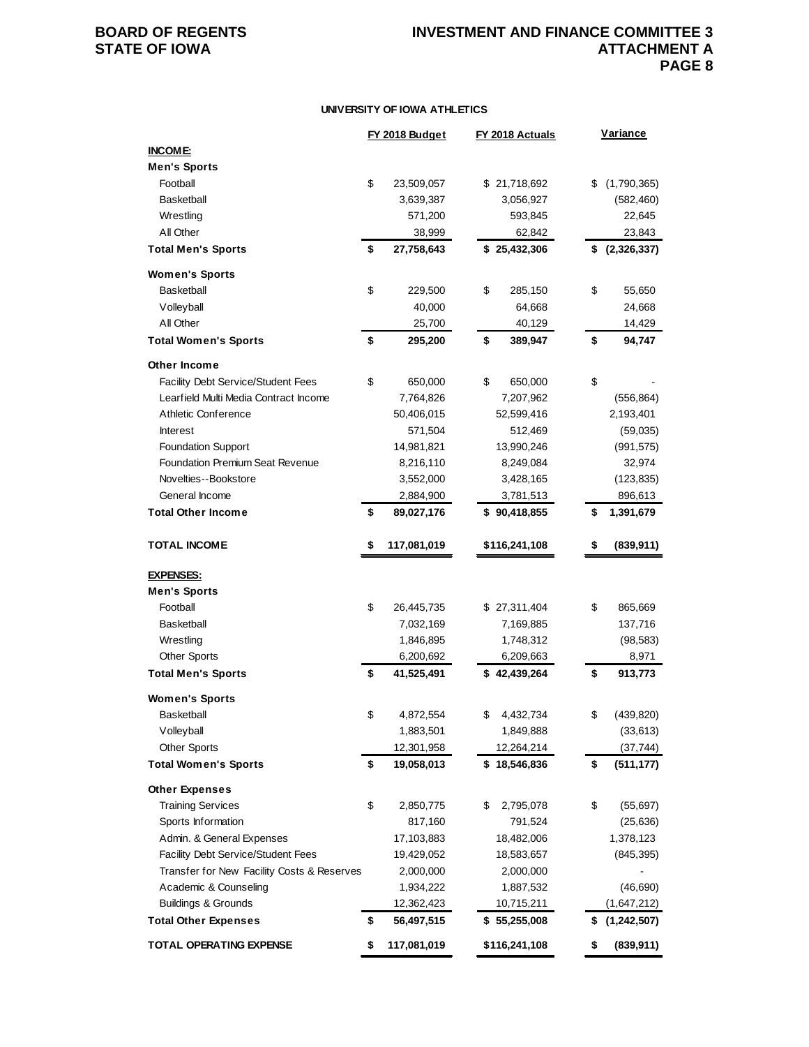### **BOARD OF REGENTS INVESTMENT AND FINANCE COMMITTEE 3 ATTACHMENT A PAGE 8**

#### **UNIVERSITY OF IOWA ATHLETICS**

|                                            | FY 2018 Budget    | FY 2018 Actuals | <b>Variance</b> |             |
|--------------------------------------------|-------------------|-----------------|-----------------|-------------|
| <b>INCOME:</b>                             |                   |                 |                 |             |
| <b>Men's Sports</b>                        |                   |                 |                 |             |
| Football                                   | \$<br>23,509,057  | \$21,718,692    | \$              | (1,790,365) |
| <b>Basketball</b>                          | 3,639,387         | 3,056,927       |                 | (582, 460)  |
| Wrestling                                  | 571,200           | 593,845         |                 | 22,645      |
| All Other                                  | 38,999            | 62,842          |                 | 23,843      |
| <b>Total Men's Sports</b>                  | \$<br>27,758,643  | \$25,432,306    | \$              | (2,326,337) |
| <b>Women's Sports</b>                      |                   |                 |                 |             |
| <b>Basketball</b>                          | \$<br>229,500     | \$<br>285,150   | \$              | 55,650      |
| Volleyball                                 | 40,000            | 64,668          |                 | 24,668      |
| All Other                                  | 25,700            | 40,129          |                 | 14,429      |
| <b>Total Women's Sports</b>                | \$<br>295,200     | \$<br>389,947   | \$              | 94,747      |
| Other Income                               |                   |                 |                 |             |
| Facility Debt Service/Student Fees         | \$<br>650,000     | \$<br>650,000   | \$              |             |
| Learfield Multi Media Contract Income      | 7,764,826         | 7,207,962       |                 | (556, 864)  |
| Athletic Conference                        | 50,406,015        | 52,599,416      |                 | 2,193,401   |
| <b>Interest</b>                            | 571,504           | 512,469         |                 | (59,035)    |
| <b>Foundation Support</b>                  | 14,981,821        | 13,990,246      |                 | (991, 575)  |
| <b>Foundation Premium Seat Revenue</b>     | 8,216,110         | 8,249,084       |                 | 32,974      |
| Novelties--Bookstore                       | 3,552,000         | 3,428,165       |                 | (123, 835)  |
| General Income                             | 2,884,900         | 3,781,513       |                 | 896,613     |
| <b>Total Other Income</b>                  | \$<br>89,027,176  | \$90,418,855    | \$              | 1,391,679   |
|                                            |                   |                 |                 |             |
| <b>TOTAL INCOME</b>                        | \$<br>117,081,019 | \$116,241,108   | \$              | (839, 911)  |
| <b>EXPENSES:</b>                           |                   |                 |                 |             |
| <b>Men's Sports</b>                        |                   |                 |                 |             |
| Football                                   | \$<br>26,445,735  | \$27,311,404    | \$              | 865,669     |
| <b>Basketball</b>                          | 7,032,169         | 7,169,885       |                 | 137,716     |
| Wrestling                                  | 1,846,895         | 1,748,312       |                 | (98, 583)   |
| <b>Other Sports</b>                        | 6,200,692         | 6,209,663       |                 | 8,971       |
| <b>Total Men's Sports</b>                  | \$<br>41,525,491  | \$42,439,264    | \$              | 913,773     |
| <b>Women's Sports</b>                      |                   |                 |                 |             |
| Basketball                                 | \$<br>4,872,554   | \$<br>4,432,734 | \$              | (439, 820)  |
| Volleyball                                 | 1,883,501         | 1,849,888       |                 | (33, 613)   |
| <b>Other Sports</b>                        | 12,301,958        | 12,264,214      |                 | (37, 744)   |
| <b>Total Women's Sports</b>                | \$<br>19,058,013  | \$18,546,836    | \$              | (511, 177)  |
| <b>Other Expenses</b>                      |                   |                 |                 |             |
| <b>Training Services</b>                   | \$<br>2,850,775   | \$<br>2,795,078 | \$              | (55, 697)   |
| Sports Information                         | 817,160           | 791,524         |                 | (25, 636)   |
| Admin. & General Expenses                  | 17,103,883        | 18,482,006      |                 | 1,378,123   |
| Facility Debt Service/Student Fees         | 19,429,052        | 18,583,657      |                 | (845, 395)  |
| Transfer for New Facility Costs & Reserves | 2,000,000         | 2,000,000       |                 |             |
| Academic & Counseling                      | 1,934,222         | 1,887,532       |                 | (46, 690)   |
| <b>Buildings &amp; Grounds</b>             | 12,362,423        | 10,715,211      |                 | (1,647,212) |
| <b>Total Other Expenses</b>                | \$<br>56,497,515  | \$5,255,008     | \$              | (1,242,507) |
| <b>TOTAL OPERATING EXPENSE</b>             | \$<br>117,081,019 | \$116,241,108   | \$              | (839, 911)  |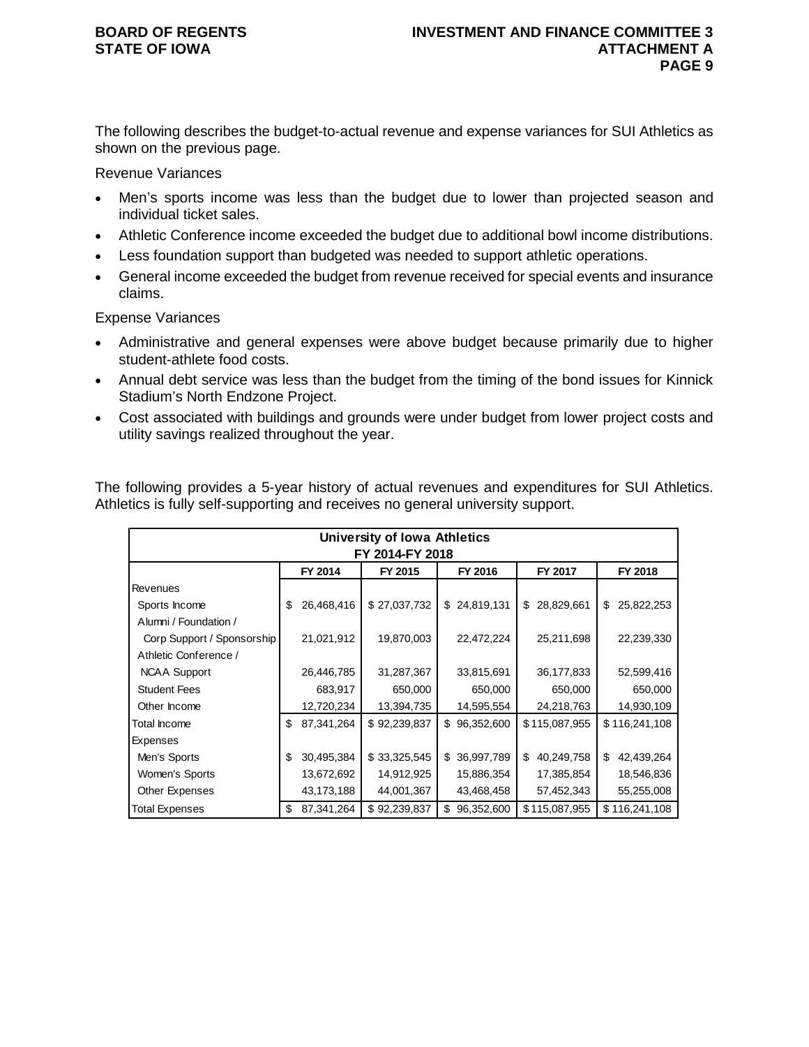# **STATE OF IOWA**

The following describes the budget-to-actual revenue and expense variances for SUI Athletics as shown on the previous page.

Revenue Variances

- Men's sports income was less than the budget due to lower than projected season and individual ticket sales.
- Athletic Conference income exceeded the budget due to additional bowl income distributions.
- Less foundation support than budgeted was needed to support athletic operations.
- General income exceeded the budget from revenue received for special events and insurance claims.

Expense Variances

- Administrative and general expenses were above budget because primarily due to higher student-athlete food costs.
- Annual debt service was less than the budget from the timing of the bond issues for Kinnick Stadium's North Endzone Project.
- Cost associated with buildings and grounds were under budget from lower project costs and utility savings realized throughout the year.

The following provides a 5-year history of actual revenues and expenditures for SUI Athletics. Athletics is fully self-supporting and receives no general university support.

|                            |    |            | <b>University of Iowa Athletics</b> |    |            |    |               |    |               |  |  |  |
|----------------------------|----|------------|-------------------------------------|----|------------|----|---------------|----|---------------|--|--|--|
| FY 2014-FY 2018            |    |            |                                     |    |            |    |               |    |               |  |  |  |
|                            |    | FY 2014    | FY 2015                             |    | FY 2016    |    | FY 2017       |    | FY 2018       |  |  |  |
| Revenues                   |    |            |                                     |    |            |    |               |    |               |  |  |  |
| Sports Income              | \$ | 26,468,416 | \$27,037,732                        | \$ | 24,819,131 | \$ | 28,829,661    | \$ | 25,822,253    |  |  |  |
| Alumni / Foundation /      |    |            |                                     |    |            |    |               |    |               |  |  |  |
| Corp Support / Sponsorship |    | 21,021,912 | 19,870,003                          |    | 22,472,224 |    | 25,211,698    |    | 22,239,330    |  |  |  |
| Athletic Conference /      |    |            |                                     |    |            |    |               |    |               |  |  |  |
| <b>NCAA Support</b>        |    | 26,446,785 | 31,287,367                          |    | 33,815,691 |    | 36,177,833    |    | 52,599,416    |  |  |  |
| <b>Student Fees</b>        |    | 683,917    | 650,000                             |    | 650,000    |    | 650,000       |    | 650,000       |  |  |  |
| Other Income               |    | 12,720,234 | 13,394,735                          |    | 14,595,554 |    | 24,218,763    |    | 14,930,109    |  |  |  |
| Total Income               | \$ | 87,341,264 | \$92,239,837                        | \$ | 96,352,600 |    | \$115,087,955 |    | \$116,241,108 |  |  |  |
| Expenses                   |    |            |                                     |    |            |    |               |    |               |  |  |  |
| Men's Sports               | \$ | 30,495,384 | \$33,325,545                        | \$ | 36,997,789 | \$ | 40,249,758    | \$ | 42,439,264    |  |  |  |
| Women's Sports             |    | 13,672,692 | 14,912,925                          |    | 15,886,354 |    | 17,385,854    |    | 18,546,836    |  |  |  |
| Other Expenses             |    | 43,173,188 | 44,001,367                          |    | 43,468,458 |    | 57,452,343    |    | 55,255,008    |  |  |  |
| <b>Total Expenses</b>      | \$ | 87,341,264 | \$92,239,837                        | \$ | 96,352,600 |    | \$115,087,955 |    | \$116,241,108 |  |  |  |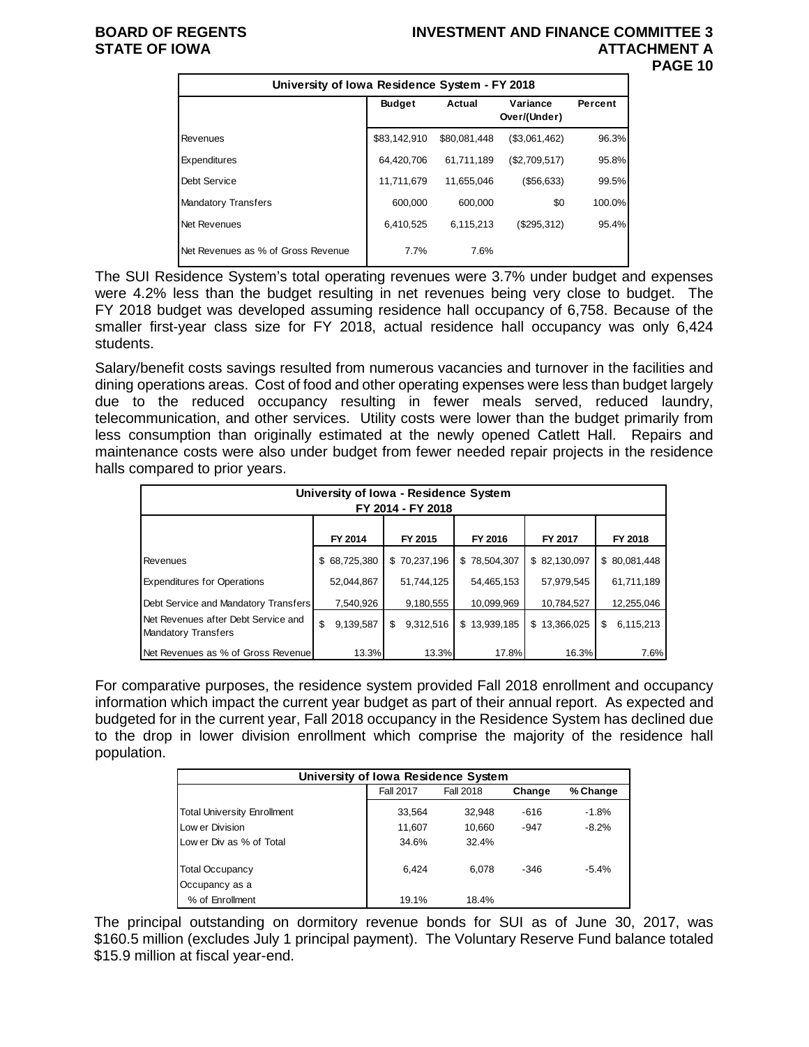#### **BOARD OF REGENTS INVESTMENT AND FINANCE COMMITTEE 3 ATTACHMENT A PAGE 10**

| University of Iowa Residence System - FY 2018 |               |              |                          |         |
|-----------------------------------------------|---------------|--------------|--------------------------|---------|
|                                               | <b>Budget</b> | Actual       | Variance<br>Over/(Under) | Percent |
| Revenues                                      | \$83,142,910  | \$80,081,448 | (\$3,061,462)            | 96.3%   |
| Expenditures                                  | 64,420,706    | 61.711.189   | (\$2,709,517)            | 95.8%   |
| Debt Service                                  | 11,711,679    | 11,655,046   | ( \$56, 633)             | 99.5%   |
| <b>Mandatory Transfers</b>                    | 600,000       | 600.000      | \$0                      | 100.0%  |
| Net Revenues                                  | 6,410,525     | 6.115.213    | (\$295,312)              | 95.4%   |
| Net Revenues as % of Gross Revenue            | 7.7%          | 7.6%         |                          |         |

The SUI Residence System's total operating revenues were 3.7% under budget and expenses were 4.2% less than the budget resulting in net revenues being very close to budget. The FY 2018 budget was developed assuming residence hall occupancy of 6,758. Because of the smaller first-year class size for FY 2018, actual residence hall occupancy was only 6,424 students.

Salary/benefit costs savings resulted from numerous vacancies and turnover in the facilities and dining operations areas. Cost of food and other operating expenses were less than budget largely due to the reduced occupancy resulting in fewer meals served, reduced laundry, telecommunication, and other services. Utility costs were lower than the budget primarily from less consumption than originally estimated at the newly opened Catlett Hall. Repairs and maintenance costs were also under budget from fewer needed repair projects in the residence halls compared to prior years.

| University of Iowa - Residence System<br>FY 2014 - FY 2018 |    |              |    |              |  |              |  |              |    |               |
|------------------------------------------------------------|----|--------------|----|--------------|--|--------------|--|--------------|----|---------------|
|                                                            |    | FY 2014      |    | FY 2015      |  | FY 2016      |  | FY 2017      |    | FY 2018       |
| Revenues                                                   |    | \$68,725,380 |    | \$70,237,196 |  | \$78,504,307 |  | \$82,130,097 |    | \$ 80,081,448 |
| <b>Expenditures for Operations</b>                         |    | 52,044,867   |    | 51,744,125   |  | 54,465,153   |  | 57,979,545   |    | 61,711,189    |
| Debt Service and Mandatory Transfers                       |    | 7,540,926    |    | 9,180,555    |  | 10,099,969   |  | 10,784,527   |    | 12,255,046    |
| Net Revenues after Debt Service and<br>Mandatory Transfers | \$ | 9,139,587    | \$ | 9,312,516    |  | \$13,939,185 |  | \$13,366,025 | \$ | 6,115,213     |
| Net Revenues as % of Gross Revenue                         |    | 13.3%        |    | 13.3%        |  | 17.8%        |  | 16.3%        |    | 7.6%          |

For comparative purposes, the residence system provided Fall 2018 enrollment and occupancy information which impact the current year budget as part of their annual report. As expected and budgeted for in the current year, Fall 2018 occupancy in the Residence System has declined due to the drop in lower division enrollment which comprise the majority of the residence hall population.

| University of Iowa Residence System                 |        |        |        |         |  |  |  |  |  |  |  |  |
|-----------------------------------------------------|--------|--------|--------|---------|--|--|--|--|--|--|--|--|
| <b>Fall 2017</b><br>Fall 2018<br>% Change<br>Change |        |        |        |         |  |  |  |  |  |  |  |  |
| <b>Total University Enrollment</b>                  | 33,564 | 32.948 | $-616$ | $-1.8%$ |  |  |  |  |  |  |  |  |
| Low er Division                                     | 11,607 | 10,660 | $-947$ | $-8.2%$ |  |  |  |  |  |  |  |  |
| Low er Div as % of Total                            | 34.6%  | 32.4%  |        |         |  |  |  |  |  |  |  |  |
| <b>Total Occupancy</b>                              | 6.424  | 6.078  | $-346$ | $-5.4%$ |  |  |  |  |  |  |  |  |
| Occupancy as a                                      |        |        |        |         |  |  |  |  |  |  |  |  |
| % of Enrollment                                     | 19.1%  | 18.4%  |        |         |  |  |  |  |  |  |  |  |

The principal outstanding on dormitory revenue bonds for SUI as of June 30, 2017, was \$160.5 million (excludes July 1 principal payment). The Voluntary Reserve Fund balance totaled \$15.9 million at fiscal year-end.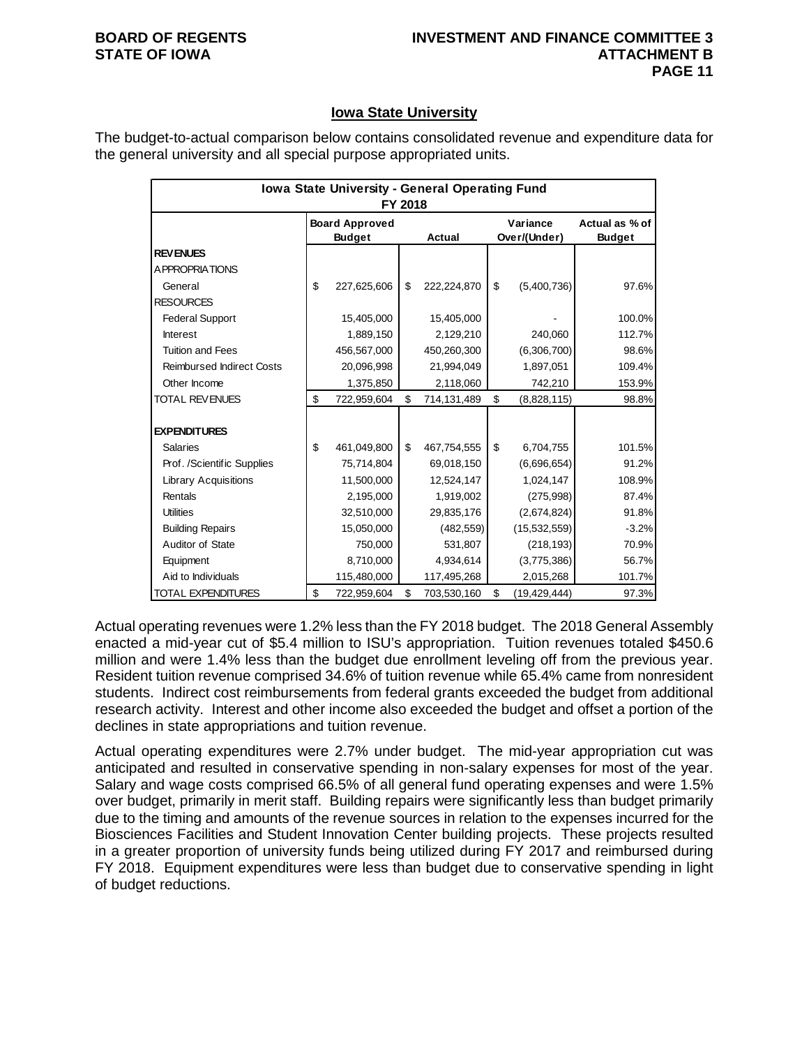### **Iowa State University**

The budget-to-actual comparison below contains consolidated revenue and expenditure data for the general university and all special purpose appropriated units.

| Iowa State University - General Operating Fund<br>FY 2018 |    |                                        |    |               |    |                          |                                 |  |
|-----------------------------------------------------------|----|----------------------------------------|----|---------------|----|--------------------------|---------------------------------|--|
|                                                           |    | <b>Board Approved</b><br><b>Budget</b> |    | <b>Actual</b> |    | Variance<br>Over/(Under) | Actual as % of<br><b>Budget</b> |  |
| <b>REVENUES</b>                                           |    |                                        |    |               |    |                          |                                 |  |
| <b>APPROPRIATIONS</b>                                     |    |                                        |    |               |    |                          |                                 |  |
| General                                                   | \$ | 227,625,606                            | \$ | 222,224,870   | \$ | (5,400,736)              | 97.6%                           |  |
| <b>RESOURCES</b>                                          |    |                                        |    |               |    |                          |                                 |  |
| <b>Federal Support</b>                                    |    | 15,405,000                             |    | 15,405,000    |    |                          | 100.0%                          |  |
| <b>Interest</b>                                           |    | 1,889,150                              |    | 2,129,210     |    | 240,060                  | 112.7%                          |  |
| <b>Tuition and Fees</b>                                   |    | 456,567,000                            |    | 450,260,300   |    | (6,306,700)              | 98.6%                           |  |
| <b>Reimbursed Indirect Costs</b>                          |    | 20,096,998                             |    | 21,994,049    |    | 1,897,051                | 109.4%                          |  |
| Other Income                                              |    | 1,375,850                              |    | 2,118,060     |    | 742,210                  | 153.9%                          |  |
| <b>TOTAL REVENUES</b>                                     | \$ | 722,959,604                            | \$ | 714,131,489   | \$ | (8,828,115)              | 98.8%                           |  |
|                                                           |    |                                        |    |               |    |                          |                                 |  |
| <b>EXPENDITURES</b>                                       |    |                                        |    |               |    |                          |                                 |  |
| <b>Salaries</b>                                           | \$ | 461,049,800                            | \$ | 467,754,555   | \$ | 6,704,755                | 101.5%                          |  |
| Prof. /Scientific Supplies                                |    | 75,714,804                             |    | 69,018,150    |    | (6,696,654)              | 91.2%                           |  |
| <b>Library Acquisitions</b>                               |    | 11,500,000                             |    | 12,524,147    |    | 1,024,147                | 108.9%                          |  |
| Rentals                                                   |    | 2,195,000                              |    | 1,919,002     |    | (275,998)                | 87.4%                           |  |
| <b>Utilities</b>                                          |    | 32,510,000                             |    | 29,835,176    |    | (2,674,824)              | 91.8%                           |  |
| <b>Building Repairs</b>                                   |    | 15,050,000                             |    | (482, 559)    |    | (15,532,559)             | $-3.2%$                         |  |
| Auditor of State                                          |    | 750,000                                |    | 531,807       |    | (218, 193)               | 70.9%                           |  |
| Equipment                                                 |    | 8,710,000                              |    | 4,934,614     |    | (3,775,386)              | 56.7%                           |  |
| Aid to Individuals                                        |    | 115,480,000                            |    | 117,495,268   |    | 2,015,268                | 101.7%                          |  |
| TOTAL EXPENDITURES                                        | \$ | 722,959,604                            | \$ | 703,530,160   | \$ | (19, 429, 444)           | 97.3%                           |  |

Actual operating revenues were 1.2% less than the FY 2018 budget. The 2018 General Assembly enacted a mid-year cut of \$5.4 million to ISU's appropriation. Tuition revenues totaled \$450.6 million and were 1.4% less than the budget due enrollment leveling off from the previous year. Resident tuition revenue comprised 34.6% of tuition revenue while 65.4% came from nonresident students. Indirect cost reimbursements from federal grants exceeded the budget from additional research activity. Interest and other income also exceeded the budget and offset a portion of the declines in state appropriations and tuition revenue.

Actual operating expenditures were 2.7% under budget. The mid-year appropriation cut was anticipated and resulted in conservative spending in non-salary expenses for most of the year. Salary and wage costs comprised 66.5% of all general fund operating expenses and were 1.5% over budget, primarily in merit staff. Building repairs were significantly less than budget primarily due to the timing and amounts of the revenue sources in relation to the expenses incurred for the Biosciences Facilities and Student Innovation Center building projects. These projects resulted in a greater proportion of university funds being utilized during FY 2017 and reimbursed during FY 2018. Equipment expenditures were less than budget due to conservative spending in light of budget reductions.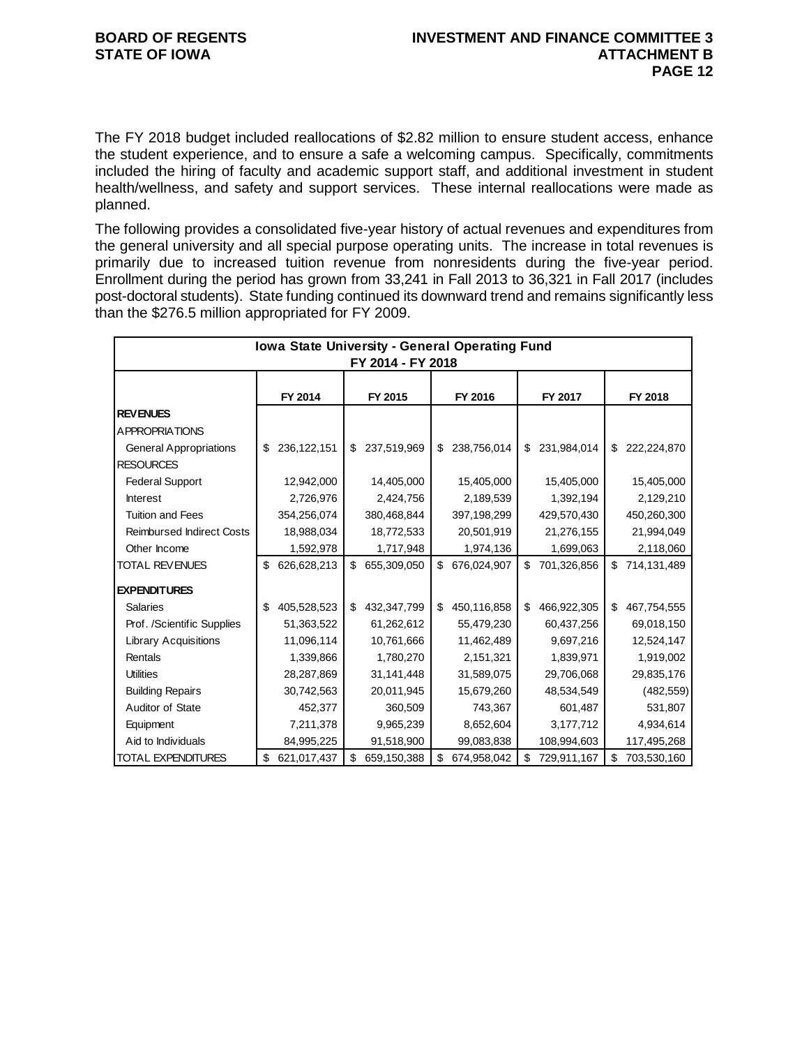The FY 2018 budget included reallocations of \$2.82 million to ensure student access, enhance the student experience, and to ensure a safe a welcoming campus. Specifically, commitments included the hiring of faculty and academic support staff, and additional investment in student health/wellness, and safety and support services. These internal reallocations were made as planned.

The following provides a consolidated five-year history of actual revenues and expenditures from the general university and all special purpose operating units. The increase in total revenues is primarily due to increased tuition revenue from nonresidents during the five-year period. Enrollment during the period has grown from 33,241 in Fall 2013 to 36,321 in Fall 2017 (includes post-doctoral students). State funding continued its downward trend and remains significantly less than the \$276.5 million appropriated for FY 2009.

|                                  | <b>Iowa State University - General Operating Fund</b><br>FY 2014 - FY 2018 |             |    |             |    |             |    |             |    |               |
|----------------------------------|----------------------------------------------------------------------------|-------------|----|-------------|----|-------------|----|-------------|----|---------------|
|                                  |                                                                            |             |    |             |    |             |    |             |    |               |
|                                  |                                                                            | FY 2014     |    | FY 2015     |    | FY 2016     |    | FY 2017     |    | FY 2018       |
| <b>REVENUES</b>                  |                                                                            |             |    |             |    |             |    |             |    |               |
| A PPROPRIATIONS                  |                                                                            |             |    |             |    |             |    |             |    |               |
| <b>General Appropriations</b>    | \$                                                                         | 236,122,151 | \$ | 237,519,969 | \$ | 238,756,014 | \$ | 231,984,014 | \$ | 222,224,870   |
| <b>RESOURCES</b>                 |                                                                            |             |    |             |    |             |    |             |    |               |
| <b>Federal Support</b>           |                                                                            | 12,942,000  |    | 14,405,000  |    | 15,405,000  |    | 15,405,000  |    | 15,405,000    |
| <b>Interest</b>                  |                                                                            | 2,726,976   |    | 2,424,756   |    | 2,189,539   |    | 1,392,194   |    | 2,129,210     |
| <b>Tuition and Fees</b>          |                                                                            | 354,256,074 |    | 380,468,844 |    | 397,198,299 |    | 429,570,430 |    | 450,260,300   |
| <b>Reimbursed Indirect Costs</b> |                                                                            | 18,988,034  |    | 18,772,533  |    | 20,501,919  |    | 21,276,155  |    | 21,994,049    |
| Other Income                     |                                                                            | 1,592,978   |    | 1,717,948   |    | 1,974,136   |    | 1,699,063   |    | 2,118,060     |
| <b>TOTAL REVENUES</b>            | \$                                                                         | 626,628,213 | \$ | 655,309,050 | \$ | 676,024,907 | \$ | 701,326,856 |    | \$714,131,489 |
| <b>EXPENDITURES</b>              |                                                                            |             |    |             |    |             |    |             |    |               |
| <b>Salaries</b>                  | \$                                                                         | 405,528,523 | \$ | 432,347,799 | \$ | 450,116,858 | \$ | 466,922,305 | \$ | 467,754,555   |
| Prof. /Scientific Supplies       |                                                                            | 51,363,522  |    | 61,262,612  |    | 55,479,230  |    | 60,437,256  |    | 69,018,150    |
| <b>Library Acquisitions</b>      |                                                                            | 11,096,114  |    | 10,761,666  |    | 11,462,489  |    | 9,697,216   |    | 12,524,147    |
| Rentals                          |                                                                            | 1,339,866   |    | 1,780,270   |    | 2,151,321   |    | 1,839,971   |    | 1,919,002     |
| <b>Utilities</b>                 |                                                                            | 28,287,869  |    | 31,141,448  |    | 31,589,075  |    | 29,706,068  |    | 29,835,176    |
| <b>Building Repairs</b>          |                                                                            | 30,742,563  |    | 20,011,945  |    | 15,679,260  |    | 48,534,549  |    | (482, 559)    |
| Auditor of State                 |                                                                            | 452,377     |    | 360,509     |    | 743,367     |    | 601,487     |    | 531,807       |
| Equipment                        |                                                                            | 7,211,378   |    | 9,965,239   |    | 8,652,604   |    | 3,177,712   |    | 4,934,614     |
| Aid to Individuals               |                                                                            | 84,995,225  |    | 91,518,900  |    | 99,083,838  |    | 108,994,603 |    | 117,495,268   |
| <b>TOTAL EXPENDITURES</b>        | \$                                                                         | 621,017,437 | \$ | 659,150,388 | \$ | 674,958,042 | \$ | 729,911,167 | \$ | 703,530,160   |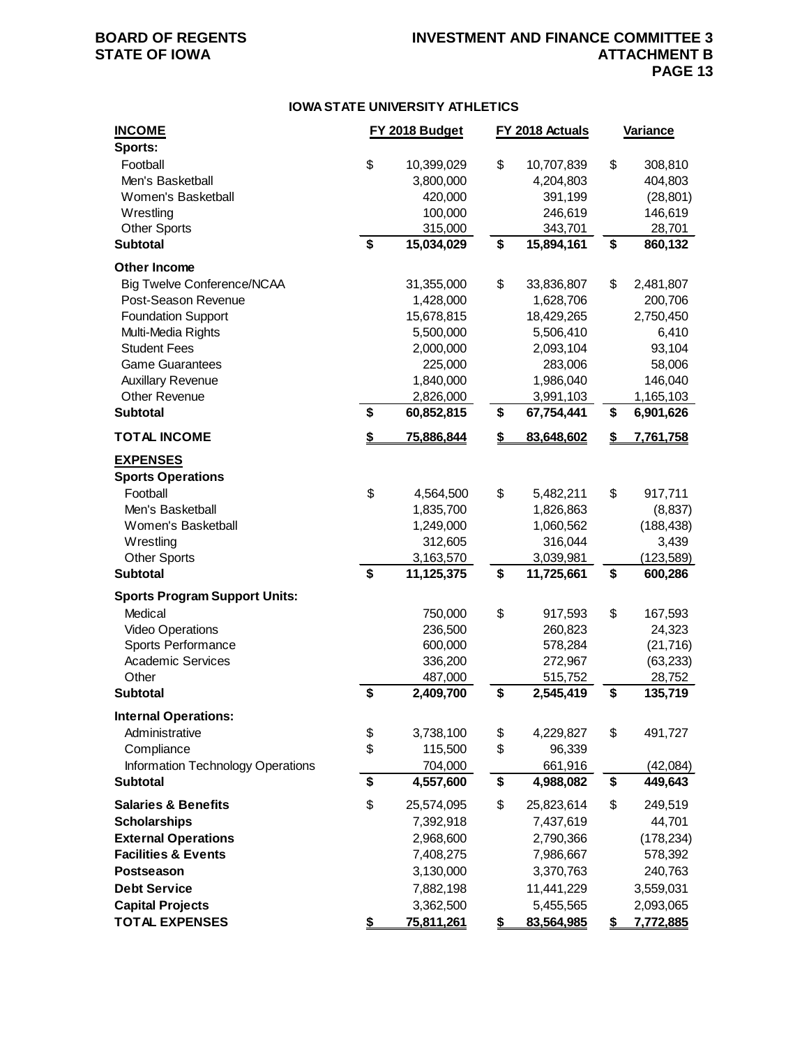### **BOARD OF REGENTS INVESTMENT AND FINANCE COMMITTEE 3 ATTACHMENT B PAGE 13**

#### **IOWA STATE UNIVERSITY ATHLETICS**

| <b>INCOME</b><br>Sports:                    |    | FY 2018 Budget    | FY 2018 Actuals  | <b>Variance</b> |
|---------------------------------------------|----|-------------------|------------------|-----------------|
| Football                                    | \$ | 10,399,029        | \$<br>10,707,839 | \$<br>308,810   |
| Men's Basketball                            |    | 3,800,000         | 4,204,803        | 404,803         |
| Women's Basketball                          |    | 420,000           | 391,199          | (28, 801)       |
| Wrestling                                   |    | 100,000           | 246,619          | 146,619         |
| <b>Other Sports</b>                         |    | 315,000           | 343,701          | 28,701          |
| <b>Subtotal</b>                             | \$ | 15,034,029        | \$<br>15,894,161 | \$<br>860,132   |
| <b>Other Income</b>                         |    |                   |                  |                 |
| <b>Big Twelve Conference/NCAA</b>           |    | 31,355,000        | \$<br>33,836,807 | \$<br>2,481,807 |
| Post-Season Revenue                         |    | 1,428,000         | 1,628,706        | 200,706         |
| <b>Foundation Support</b>                   |    | 15,678,815        | 18,429,265       | 2,750,450       |
| Multi-Media Rights                          |    | 5,500,000         | 5,506,410        | 6,410           |
| <b>Student Fees</b>                         |    | 2,000,000         | 2,093,104        | 93,104          |
| <b>Game Guarantees</b>                      |    | 225,000           | 283,006          | 58,006          |
| <b>Auxillary Revenue</b>                    |    | 1,840,000         | 1,986,040        | 146,040         |
| Other Revenue                               |    | 2,826,000         | 3,991,103        | 1,165,103       |
| <b>Subtotal</b>                             | \$ | 60,852,815        | \$<br>67,754,441 | \$<br>6,901,626 |
| <b>TOTAL INCOME</b>                         | S  | 75,886,844        | \$<br>83,648,602 | \$<br>7,761,758 |
| <b>EXPENSES</b><br><b>Sports Operations</b> |    |                   |                  |                 |
| Football                                    | \$ | 4,564,500         | \$<br>5,482,211  | \$<br>917,711   |
| Men's Basketball                            |    | 1,835,700         | 1,826,863        | (8,837)         |
| Women's Basketball                          |    | 1,249,000         | 1,060,562        | (188, 438)      |
| Wrestling                                   |    | 312,605           | 316,044          | 3,439           |
| <b>Other Sports</b>                         |    | 3,163,570         | 3,039,981        | (123, 589)      |
| <b>Subtotal</b>                             | \$ | 11,125,375        | \$<br>11,725,661 | \$<br>600,286   |
| <b>Sports Program Support Units:</b>        |    |                   |                  |                 |
| Medical                                     |    | 750,000           | \$<br>917,593    | \$<br>167,593   |
| <b>Video Operations</b>                     |    | 236,500           | 260,823          | 24,323          |
| Sports Performance                          |    | 600,000           | 578,284          | (21, 716)       |
| <b>Academic Services</b>                    |    | 336,200           | 272,967          | (63, 233)       |
| Other                                       |    | 487,000           | 515,752          | 28,752          |
| <b>Subtotal</b>                             | \$ | 2,409,700         | \$<br>2,545,419  | \$<br>135,719   |
| <b>Internal Operations:</b>                 |    |                   |                  |                 |
| Administrative                              | \$ | 3,738,100         | \$<br>4,229,827  | \$<br>491,727   |
| Compliance                                  | \$ | 115,500           | \$<br>96,339     |                 |
| Information Technology Operations           |    | 704,000           | 661,916          | (42,084)        |
| <b>Subtotal</b>                             | \$ | 4,557,600         | \$<br>4,988,082  | \$<br>449,643   |
| <b>Salaries &amp; Benefits</b>              | \$ | 25,574,095        | \$<br>25,823,614 | \$<br>249,519   |
| <b>Scholarships</b>                         |    | 7,392,918         | 7,437,619        | 44,701          |
| <b>External Operations</b>                  |    | 2,968,600         | 2,790,366        | (178, 234)      |
| <b>Facilities &amp; Events</b>              |    | 7,408,275         | 7,986,667        | 578,392         |
| <b>Postseason</b>                           |    | 3,130,000         | 3,370,763        | 240,763         |
| <b>Debt Service</b>                         |    | 7,882,198         | 11,441,229       | 3,559,031       |
| <b>Capital Projects</b>                     |    | 3,362,500         | 5,455,565        | 2,093,065       |
| <b>TOTAL EXPENSES</b>                       | \$ | <u>75,811,261</u> | \$<br>83,564,985 | \$<br>7,772,885 |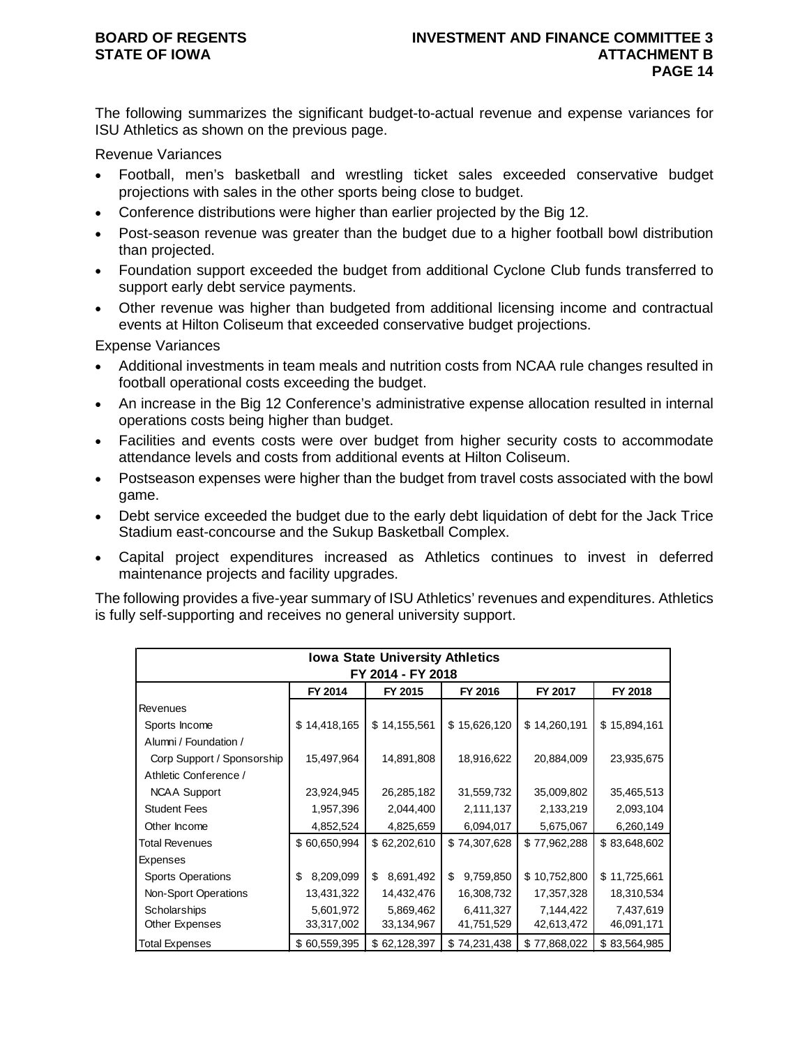The following summarizes the significant budget-to-actual revenue and expense variances for ISU Athletics as shown on the previous page.

Revenue Variances

- Football, men's basketball and wrestling ticket sales exceeded conservative budget projections with sales in the other sports being close to budget.
- Conference distributions were higher than earlier projected by the Big 12.
- Post-season revenue was greater than the budget due to a higher football bowl distribution than projected.
- Foundation support exceeded the budget from additional Cyclone Club funds transferred to support early debt service payments.
- Other revenue was higher than budgeted from additional licensing income and contractual events at Hilton Coliseum that exceeded conservative budget projections.

Expense Variances

- Additional investments in team meals and nutrition costs from NCAA rule changes resulted in football operational costs exceeding the budget.
- An increase in the Big 12 Conference's administrative expense allocation resulted in internal operations costs being higher than budget.
- Facilities and events costs were over budget from higher security costs to accommodate attendance levels and costs from additional events at Hilton Coliseum.
- Postseason expenses were higher than the budget from travel costs associated with the bowl game.
- Debt service exceeded the budget due to the early debt liquidation of debt for the Jack Trice Stadium east-concourse and the Sukup Basketball Complex.
- Capital project expenditures increased as Athletics continues to invest in deferred maintenance projects and facility upgrades.

The following provides a five-year summary of ISU Athletics' revenues and expenditures. Athletics is fully self-supporting and receives no general university support.

| <b>Iowa State University Athletics</b> |                 |                   |                 |              |              |  |  |
|----------------------------------------|-----------------|-------------------|-----------------|--------------|--------------|--|--|
|                                        |                 | FY 2014 - FY 2018 |                 |              |              |  |  |
|                                        | FY 2014         | FY 2015           | FY 2016         | FY 2017      | FY 2018      |  |  |
| <b>Revenues</b>                        |                 |                   |                 |              |              |  |  |
| Sports Income                          | \$14,418,165    | \$14,155,561      | \$15,626,120    | \$14,260,191 | \$15,894,161 |  |  |
| Alumni / Foundation /                  |                 |                   |                 |              |              |  |  |
| Corp Support / Sponsorship             | 15,497,964      | 14,891,808        | 18,916,622      | 20,884,009   | 23,935,675   |  |  |
| Athletic Conference /                  |                 |                   |                 |              |              |  |  |
| <b>NCAA Support</b>                    | 23,924,945      | 26,285,182        | 31,559,732      | 35,009,802   | 35,465,513   |  |  |
| <b>Student Fees</b>                    | 1,957,396       | 2,044,400         | 2,111,137       | 2,133,219    | 2,093,104    |  |  |
| Other Income                           | 4,852,524       | 4,825,659         | 6,094,017       | 5,675,067    | 6,260,149    |  |  |
| <b>Total Revenues</b>                  | \$60,650,994    | \$62,202,610      | \$74,307,628    | \$77,962,288 | \$83,648,602 |  |  |
| Expenses                               |                 |                   |                 |              |              |  |  |
| <b>Sports Operations</b>               | 8,209,099<br>\$ | \$<br>8,691,492   | \$<br>9,759,850 | \$10,752,800 | \$11,725,661 |  |  |
| Non-Sport Operations                   | 13,431,322      | 14,432,476        | 16,308,732      | 17,357,328   | 18,310,534   |  |  |
| Scholarships                           | 5,601,972       | 5,869,462         | 6,411,327       | 7,144,422    | 7,437,619    |  |  |
| Other Expenses                         | 33,317,002      | 33,134,967        | 41,751,529      | 42,613,472   | 46,091,171   |  |  |
| <b>Total Expenses</b>                  | \$60,559,395    | \$62,128,397      | \$74,231,438    | \$77,868,022 | \$83,564,985 |  |  |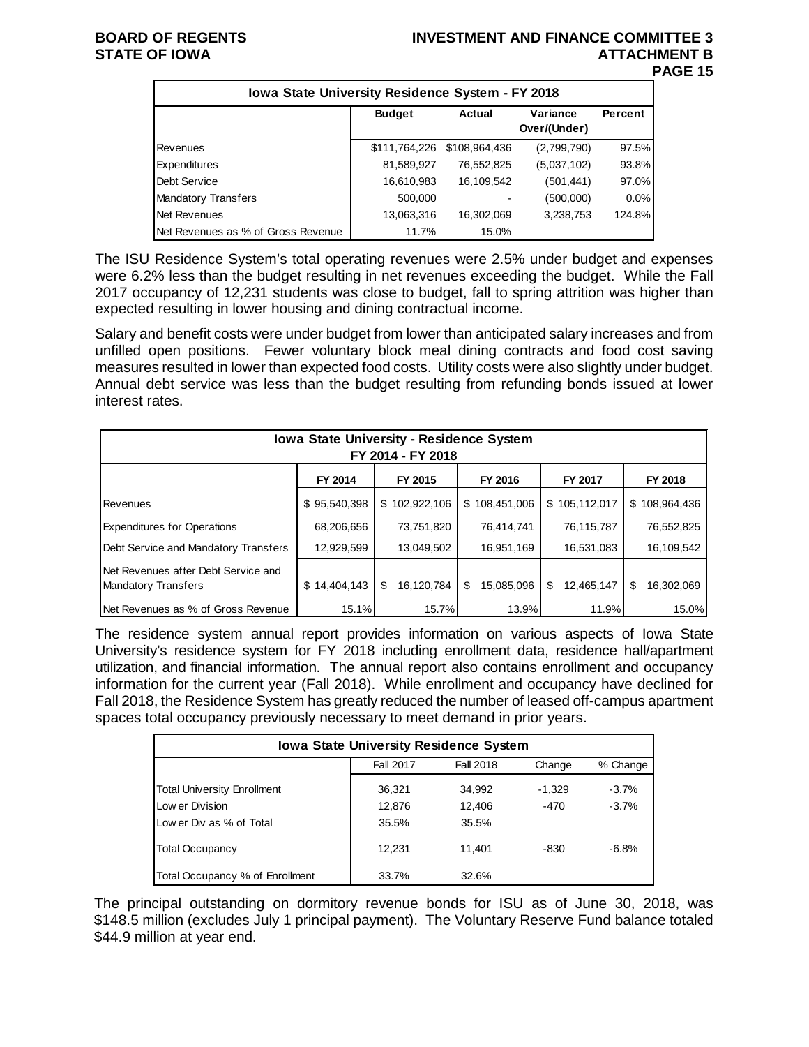#### **BOARD OF REGENTS INVESTMENT AND FINANCE COMMITTEE 3 STATE OF IOWA ATTACHMENT B PAGE 15**

| Iowa State University Residence System - FY 2018 |               |               |                          |         |  |  |  |  |  |
|--------------------------------------------------|---------------|---------------|--------------------------|---------|--|--|--|--|--|
|                                                  | <b>Budget</b> | <b>Actual</b> | Variance<br>Over/(Under) | Percent |  |  |  |  |  |
| Revenues                                         | \$111,764,226 | \$108,964,436 | (2,799,790)              | 97.5%   |  |  |  |  |  |
| Expenditures                                     | 81,589,927    | 76,552,825    | (5,037,102)              | 93.8%   |  |  |  |  |  |
| Debt Service                                     | 16,610,983    | 16,109,542    | (501, 441)               | 97.0%   |  |  |  |  |  |
| Mandatory Transfers                              | 500,000       |               | (500,000)                | $0.0\%$ |  |  |  |  |  |
| Net Revenues                                     | 13,063,316    | 16,302,069    | 3,238,753                | 124.8%  |  |  |  |  |  |
| INet Revenues as % of Gross Revenue              | 11.7%         | 15.0%         |                          |         |  |  |  |  |  |

The ISU Residence System's total operating revenues were 2.5% under budget and expenses were 6.2% less than the budget resulting in net revenues exceeding the budget. While the Fall 2017 occupancy of 12,231 students was close to budget, fall to spring attrition was higher than expected resulting in lower housing and dining contractual income.

Salary and benefit costs were under budget from lower than anticipated salary increases and from unfilled open positions. Fewer voluntary block meal dining contracts and food cost saving measures resulted in lower than expected food costs. Utility costs were also slightly under budget. Annual debt service was less than the budget resulting from refunding bonds issued at lower interest rates.

| Iowa State University - Residence System<br>FY 2014 - FY 2018     |              |                   |                 |                  |                  |  |  |  |  |
|-------------------------------------------------------------------|--------------|-------------------|-----------------|------------------|------------------|--|--|--|--|
| FY 2014<br>FY 2015<br>FY 2016<br>FY 2017<br>FY 2018               |              |                   |                 |                  |                  |  |  |  |  |
| Revenues                                                          | \$95,540,398 | \$102,922,106     | \$108,451,006   | \$105,112,017    | \$108,964,436    |  |  |  |  |
| <b>Expenditures for Operations</b>                                | 68,206,656   | 73,751,820        | 76,414,741      | 76,115,787       | 76,552,825       |  |  |  |  |
| Debt Service and Mandatory Transfers                              | 12,929,599   | 13,049,502        | 16,951,169      | 16,531,083       | 16,109,542       |  |  |  |  |
| Net Revenues after Debt Service and<br><b>Mandatory Transfers</b> | \$14,404,143 | 16,120,784<br>\$. | 15,085,096<br>S | 12,465,147<br>\$ | \$<br>16.302.069 |  |  |  |  |
| INet Revenues as % of Gross Revenue                               | 15.1%        | 15.7%             | 13.9%           | 11.9%            | 15.0%            |  |  |  |  |

The residence system annual report provides information on various aspects of Iowa State University's residence system for FY 2018 including enrollment data, residence hall/apartment utilization, and financial information. The annual report also contains enrollment and occupancy information for the current year (Fall 2018). While enrollment and occupancy have declined for Fall 2018, the Residence System has greatly reduced the number of leased off-campus apartment spaces total occupancy previously necessary to meet demand in prior years.

| <b>Iowa State University Residence System</b> |                                                     |        |        |         |  |  |  |  |
|-----------------------------------------------|-----------------------------------------------------|--------|--------|---------|--|--|--|--|
|                                               | % Change<br><b>Fall 2017</b><br>Fall 2018<br>Change |        |        |         |  |  |  |  |
| <b>Total University Enrollment</b>            | 36.321                                              | 34,992 | -1.329 | $-3.7%$ |  |  |  |  |
| Low er Division                               | 12,876                                              | 12,406 | $-470$ | $-3.7%$ |  |  |  |  |
| Low er Div as % of Total                      | 35.5%                                               | 35.5%  |        |         |  |  |  |  |
| <b>Total Occupancy</b>                        | 12.231                                              | 11.401 | -830   | $-6.8%$ |  |  |  |  |
| Total Occupancy % of Enrollment               | 33.7%                                               | 32.6%  |        |         |  |  |  |  |

The principal outstanding on dormitory revenue bonds for ISU as of June 30, 2018, was \$148.5 million (excludes July 1 principal payment). The Voluntary Reserve Fund balance totaled \$44.9 million at year end.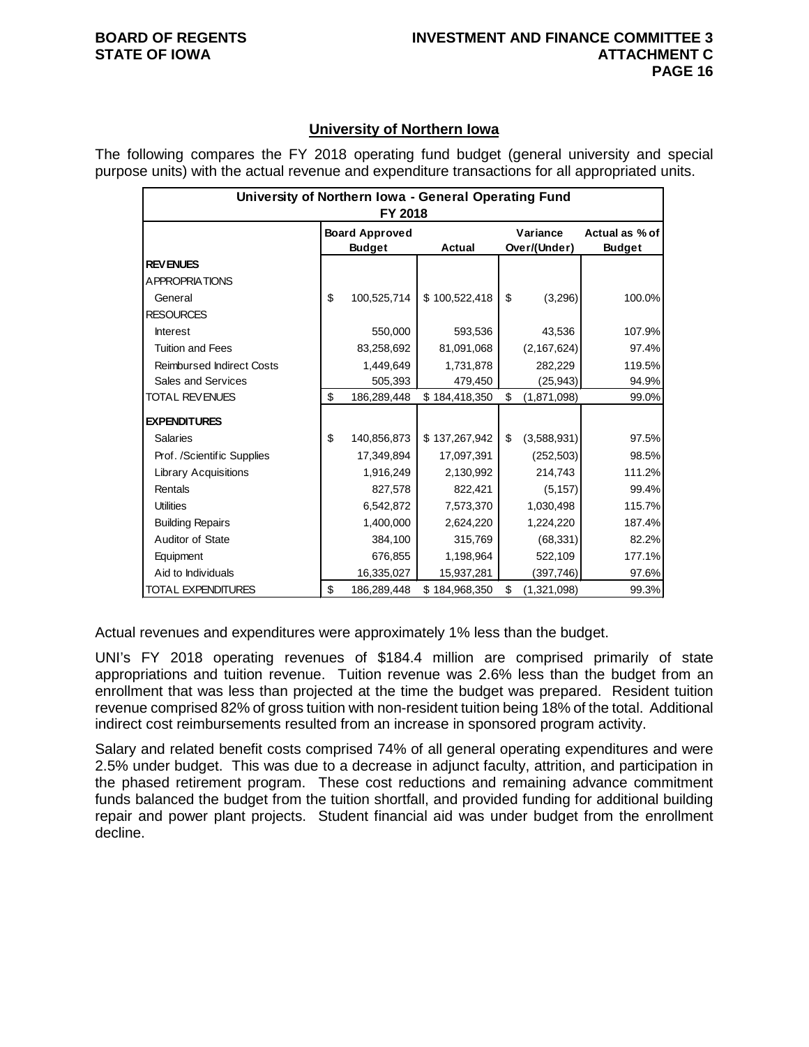### **University of Northern Iowa**

The following compares the FY 2018 operating fund budget (general university and special purpose units) with the actual revenue and expenditure transactions for all appropriated units.

| University of Northern Iowa - General Operating Fund<br>FY 2018 |    |                       |               |          |               |                |  |
|-----------------------------------------------------------------|----|-----------------------|---------------|----------|---------------|----------------|--|
|                                                                 |    | <b>Board Approved</b> |               | Variance |               | Actual as % of |  |
|                                                                 |    | <b>Budget</b>         | Actual        |          | Over/(Under)  | <b>Budget</b>  |  |
| <b>REVENUES</b>                                                 |    |                       |               |          |               |                |  |
| A PPROPRIATIONS                                                 |    |                       |               |          |               |                |  |
| General                                                         | \$ | 100,525,714           | \$100,522,418 | \$       | (3,296)       | 100.0%         |  |
| <b>RESOURCES</b>                                                |    |                       |               |          |               |                |  |
| <b>Interest</b>                                                 |    | 550,000               | 593,536       |          | 43,536        | 107.9%         |  |
| <b>Tuition and Fees</b>                                         |    | 83,258,692            | 81,091,068    |          | (2, 167, 624) | 97.4%          |  |
| <b>Reimbursed Indirect Costs</b>                                |    | 1,449,649             | 1,731,878     |          | 282,229       | 119.5%         |  |
| Sales and Services                                              |    | 505,393               | 479,450       |          | (25, 943)     | 94.9%          |  |
| <b>TOTAL REVENUES</b>                                           | \$ | 186,289,448           | \$184,418,350 | \$       | (1,871,098)   | 99.0%          |  |
| <b>EXPENDITURES</b>                                             |    |                       |               |          |               |                |  |
| <b>Salaries</b>                                                 | \$ | 140,856,873           | \$137,267,942 | \$       | (3,588,931)   | 97.5%          |  |
| Prof. /Scientific Supplies                                      |    | 17,349,894            | 17,097,391    |          | (252, 503)    | 98.5%          |  |
| <b>Library Acquisitions</b>                                     |    | 1,916,249             | 2,130,992     |          | 214,743       | 111.2%         |  |
| Rentals                                                         |    | 827,578               | 822,421       |          | (5, 157)      | 99.4%          |  |
| <b>Utilities</b>                                                |    | 6,542,872             | 7,573,370     |          | 1,030,498     | 115.7%         |  |
| <b>Building Repairs</b>                                         |    | 1,400,000             | 2,624,220     |          | 1,224,220     | 187.4%         |  |
| Auditor of State                                                |    | 384,100               | 315,769       |          | (68, 331)     | 82.2%          |  |
| Equipment                                                       |    | 676,855               | 1,198,964     |          | 522,109       | 177.1%         |  |
| Aid to Individuals                                              |    | 16,335,027            | 15,937,281    |          | (397,746)     | 97.6%          |  |
| TOTAL EXPENDITURES                                              | \$ | 186,289,448           | \$184,968,350 | \$       | (1,321,098)   | 99.3%          |  |

Actual revenues and expenditures were approximately 1% less than the budget.

UNI's FY 2018 operating revenues of \$184.4 million are comprised primarily of state appropriations and tuition revenue. Tuition revenue was 2.6% less than the budget from an enrollment that was less than projected at the time the budget was prepared. Resident tuition revenue comprised 82% of gross tuition with non-resident tuition being 18% of the total. Additional indirect cost reimbursements resulted from an increase in sponsored program activity.

Salary and related benefit costs comprised 74% of all general operating expenditures and were 2.5% under budget. This was due to a decrease in adjunct faculty, attrition, and participation in the phased retirement program. These cost reductions and remaining advance commitment funds balanced the budget from the tuition shortfall, and provided funding for additional building repair and power plant projects. Student financial aid was under budget from the enrollment decline.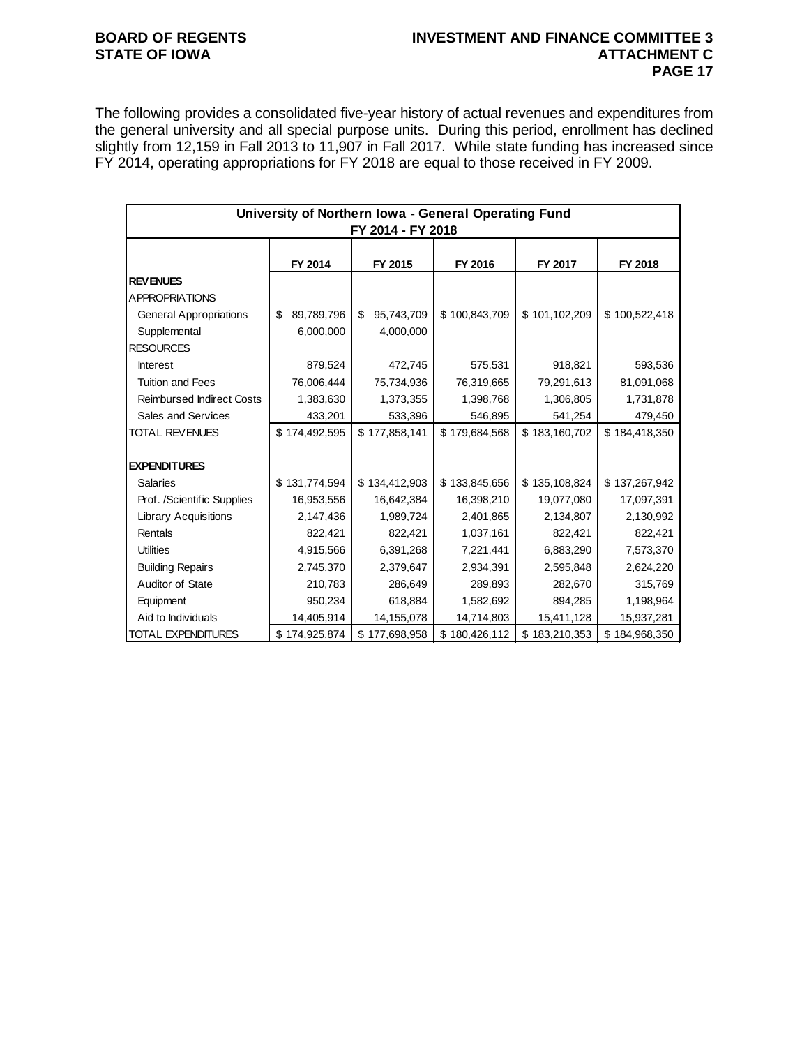#### **BOARD OF REGENTS INVESTMENT AND FINANCE COMMITTEE 3 ATTACHMENT C PAGE 17**

The following provides a consolidated five-year history of actual revenues and expenditures from the general university and all special purpose units. During this period, enrollment has declined slightly from 12,159 in Fall 2013 to 11,907 in Fall 2017. While state funding has increased since FY 2014, operating appropriations for FY 2018 are equal to those received in FY 2009.

| University of Northern Iowa - General Operating Fund<br>FY 2014 - FY 2018 |                  |                  |               |               |               |  |  |  |
|---------------------------------------------------------------------------|------------------|------------------|---------------|---------------|---------------|--|--|--|
|                                                                           | FY 2014          | FY 2015          | FY 2016       | FY 2017       | FY 2018       |  |  |  |
| <b>REV ENUES</b>                                                          |                  |                  |               |               |               |  |  |  |
| A PPROPRIATIONS                                                           |                  |                  |               |               |               |  |  |  |
| <b>General Appropriations</b>                                             | 89,789,796<br>\$ | 95,743,709<br>\$ | \$100,843,709 | \$101,102,209 | \$100,522,418 |  |  |  |
| Supplemental                                                              | 6,000,000        | 4,000,000        |               |               |               |  |  |  |
| <b>RESOURCES</b>                                                          |                  |                  |               |               |               |  |  |  |
| <b>Interest</b>                                                           | 879,524          | 472,745          | 575,531       | 918,821       | 593,536       |  |  |  |
| <b>Tuition and Fees</b>                                                   | 76,006,444       | 75,734,936       | 76,319,665    | 79,291,613    | 81,091,068    |  |  |  |
| <b>Reimbursed Indirect Costs</b>                                          | 1,383,630        | 1,373,355        | 1,398,768     | 1,306,805     | 1,731,878     |  |  |  |
| Sales and Services                                                        | 433,201          | 533,396          | 546,895       | 541,254       | 479,450       |  |  |  |
| <b>TOTAL REVENUES</b>                                                     | \$174,492,595    | \$177,858,141    | \$179,684,568 | \$183,160,702 | \$184,418,350 |  |  |  |
|                                                                           |                  |                  |               |               |               |  |  |  |
| <b>EXPENDITURES</b>                                                       |                  |                  |               |               |               |  |  |  |
| <b>Salaries</b>                                                           | \$131,774,594    | \$134,412,903    | \$133,845,656 | \$135,108,824 | \$137,267,942 |  |  |  |
| Prof. /Scientific Supplies                                                | 16,953,556       | 16,642,384       | 16,398,210    | 19,077,080    | 17,097,391    |  |  |  |
| <b>Library Acquisitions</b>                                               | 2,147,436        | 1,989,724        | 2,401,865     | 2,134,807     | 2,130,992     |  |  |  |
| Rentals                                                                   | 822,421          | 822,421          | 1,037,161     | 822,421       | 822,421       |  |  |  |
| <b>Utilities</b>                                                          | 4,915,566        | 6,391,268        | 7,221,441     | 6,883,290     | 7,573,370     |  |  |  |
| <b>Building Repairs</b>                                                   | 2,745,370        | 2,379,647        | 2,934,391     | 2,595,848     | 2,624,220     |  |  |  |
| Auditor of State                                                          | 210,783          | 286,649          | 289,893       | 282,670       | 315,769       |  |  |  |
| Equipment                                                                 | 950,234          | 618,884          | 1,582,692     | 894,285       | 1,198,964     |  |  |  |
| Aid to Individuals                                                        | 14,405,914       | 14,155,078       | 14,714,803    | 15,411,128    | 15,937,281    |  |  |  |
| <b>TOTAL EXPENDITURES</b>                                                 | \$174,925,874    | \$177,698,958    | \$180,426,112 | \$183,210,353 | \$184,968,350 |  |  |  |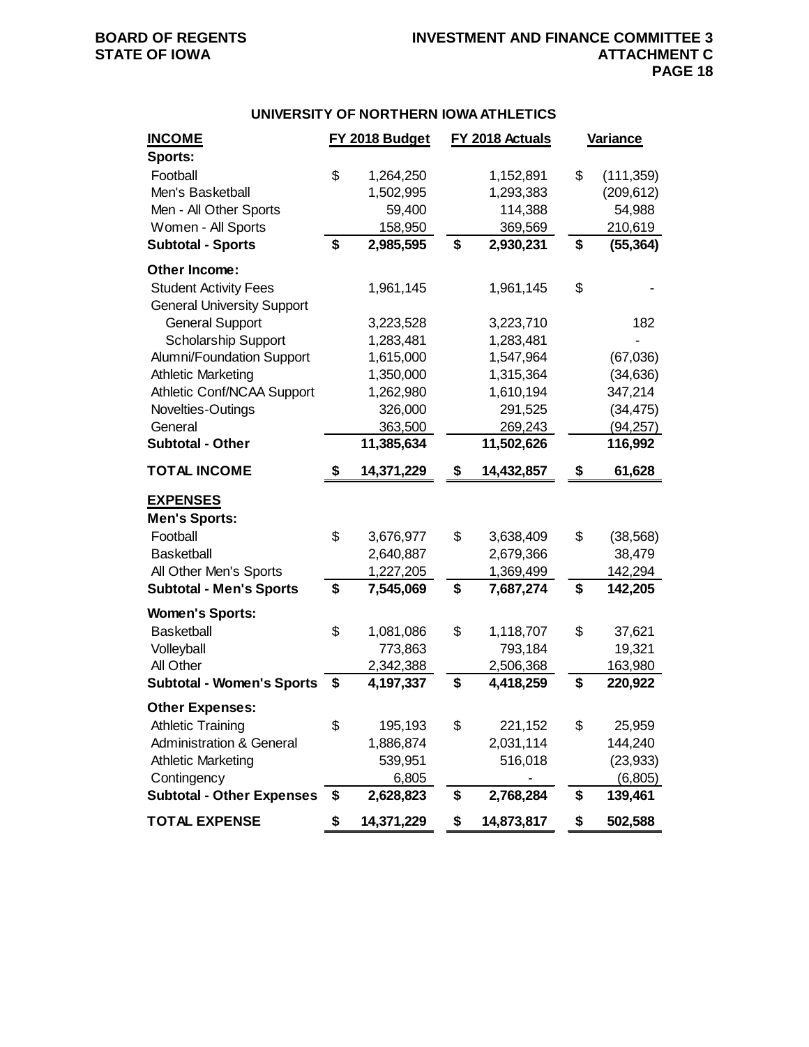### **UNIVERSITY OF NORTHERN IOWA ATHLETICS**

| <b>INCOME</b>                       | FY 2018 Budget   | FY 2018 Actuals  | Variance |            |
|-------------------------------------|------------------|------------------|----------|------------|
| Sports:                             |                  |                  |          |            |
| Football                            | \$<br>1,264,250  | 1,152,891        | \$       | (111, 359) |
| Men's Basketball                    | 1,502,995        | 1,293,383        |          | (209, 612) |
| Men - All Other Sports              | 59,400           | 114,388          |          | 54,988     |
| Women - All Sports                  | 158,950          | 369,569          |          | 210,619    |
| <b>Subtotal - Sports</b>            | \$<br>2,985,595  | \$<br>2,930,231  | \$       | (55, 364)  |
| Other Income:                       |                  |                  |          |            |
| <b>Student Activity Fees</b>        | 1,961,145        | 1,961,145        | \$       |            |
| <b>General University Support</b>   |                  |                  |          |            |
| <b>General Support</b>              | 3,223,528        | 3,223,710        |          | 182        |
| <b>Scholarship Support</b>          | 1,283,481        | 1,283,481        |          |            |
| Alumni/Foundation Support           | 1,615,000        | 1,547,964        |          | (67,036)   |
| <b>Athletic Marketing</b>           | 1,350,000        | 1,315,364        |          | (34, 636)  |
| Athletic Conf/NCAA Support          | 1,262,980        | 1,610,194        |          | 347,214    |
| Novelties-Outings                   | 326,000          | 291,525          |          | (34, 475)  |
| General                             | 363,500          | 269,243          |          | (94, 257)  |
| <b>Subtotal - Other</b>             | 11,385,634       | 11,502,626       |          | 116,992    |
| <b>TOTAL INCOME</b>                 | \$<br>14,371,229 | \$<br>14,432,857 | \$       | 61,628     |
| <b>EXPENSES</b>                     |                  |                  |          |            |
| <b>Men's Sports:</b>                |                  |                  |          |            |
| Football                            | \$<br>3,676,977  | \$<br>3,638,409  | \$       | (38, 568)  |
| <b>Basketball</b>                   | 2,640,887        | 2,679,366        |          | 38,479     |
| All Other Men's Sports              | 1,227,205        | 1,369,499        |          | 142,294    |
| <b>Subtotal - Men's Sports</b>      | \$<br>7,545,069  | \$<br>7,687,274  | \$       | 142,205    |
| <b>Women's Sports:</b>              |                  |                  |          |            |
| <b>Basketball</b>                   | \$<br>1,081,086  | \$<br>1,118,707  | \$       | 37,621     |
| Volleyball                          | 773,863          | 793,184          |          | 19,321     |
| All Other                           | 2,342,388        | 2,506,368        |          | 163,980    |
| <b>Subtotal - Women's Sports</b>    | \$<br>4,197,337  | \$<br>4,418,259  | \$       | 220,922    |
| <b>Other Expenses:</b>              |                  |                  |          |            |
| <b>Athletic Training</b>            | \$<br>195,193    | \$<br>221,152    | \$       | 25,959     |
| <b>Administration &amp; General</b> | 1,886,874        | 2,031,114        |          | 144,240    |
| <b>Athletic Marketing</b>           | 539,951          | 516,018          |          | (23, 933)  |
| Contingency                         | 6,805            |                  |          | (6,805)    |
| <b>Subtotal - Other Expenses</b>    | \$<br>2,628,823  | \$<br>2,768,284  | \$       | 139,461    |
| <b>TOTAL EXPENSE</b>                | \$<br>14,371,229 | \$<br>14,873,817 | \$       | 502,588    |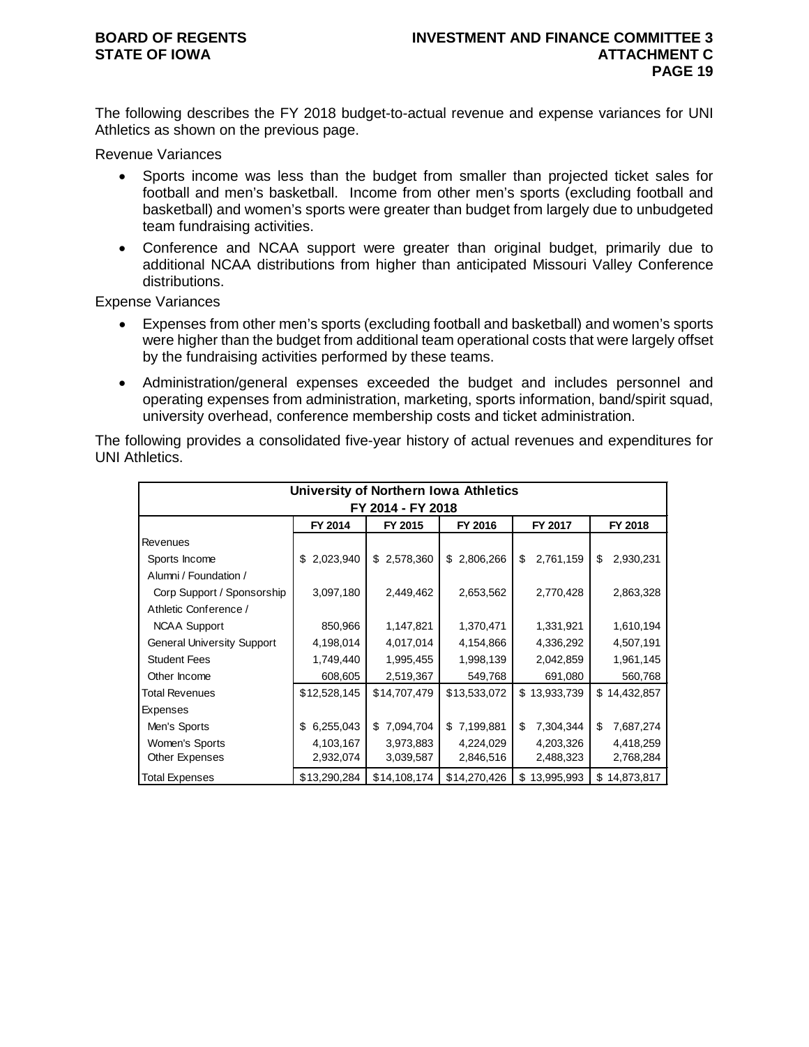The following describes the FY 2018 budget-to-actual revenue and expense variances for UNI Athletics as shown on the previous page.

Revenue Variances

- Sports income was less than the budget from smaller than projected ticket sales for football and men's basketball. Income from other men's sports (excluding football and basketball) and women's sports were greater than budget from largely due to unbudgeted team fundraising activities.
- Conference and NCAA support were greater than original budget, primarily due to additional NCAA distributions from higher than anticipated Missouri Valley Conference distributions.

Expense Variances

- Expenses from other men's sports (excluding football and basketball) and women's sports were higher than the budget from additional team operational costs that were largely offset by the fundraising activities performed by these teams.
- Administration/general expenses exceeded the budget and includes personnel and operating expenses from administration, marketing, sports information, band/spirit squad, university overhead, conference membership costs and ticket administration.

The following provides a consolidated five-year history of actual revenues and expenditures for UNI Athletics.

| University of Northern Iowa Athletics |                   |                 |                 |                  |                  |  |  |  |  |  |
|---------------------------------------|-------------------|-----------------|-----------------|------------------|------------------|--|--|--|--|--|
|                                       | FY 2014 - FY 2018 |                 |                 |                  |                  |  |  |  |  |  |
|                                       | FY 2014           | FY 2015         | FY 2016         | FY 2017          | FY 2018          |  |  |  |  |  |
| Revenues                              |                   |                 |                 |                  |                  |  |  |  |  |  |
| Sports Income                         | 2,023,940<br>\$   | 2,578,360<br>\$ | 2,806,266<br>\$ | 2,761,159<br>\$  | \$<br>2,930,231  |  |  |  |  |  |
| Alumni / Foundation /                 |                   |                 |                 |                  |                  |  |  |  |  |  |
| Corp Support / Sponsorship            | 3,097,180         | 2,449,462       | 2,653,562       | 2,770,428        | 2,863,328        |  |  |  |  |  |
| Athletic Conference /                 |                   |                 |                 |                  |                  |  |  |  |  |  |
| <b>NCAA Support</b>                   | 850,966           | 1,147,821       | 1,370,471       | 1,331,921        | 1,610,194        |  |  |  |  |  |
| <b>General University Support</b>     | 4,198,014         | 4,017,014       | 4,154,866       | 4,336,292        | 4,507,191        |  |  |  |  |  |
| <b>Student Fees</b>                   | 1,749,440         | 1,995,455       | 1,998,139       | 2,042,859        | 1,961,145        |  |  |  |  |  |
| Other Income                          | 608,605           | 2,519,367       | 549,768         | 691,080          | 560,768          |  |  |  |  |  |
| <b>Total Revenues</b>                 | \$12,528,145      | \$14,707,479    | \$13,533,072    | \$13,933,739     | \$14,432,857     |  |  |  |  |  |
| Expenses                              |                   |                 |                 |                  |                  |  |  |  |  |  |
| Men's Sports                          | 6,255,043<br>\$   | 7,094,704<br>\$ | 7,199,881<br>\$ | \$<br>7,304,344  | \$<br>7,687,274  |  |  |  |  |  |
| Women's Sports                        | 4,103,167         | 3,973,883       | 4,224,029       | 4,203,326        | 4,418,259        |  |  |  |  |  |
| Other Expenses                        | 2,932,074         | 3,039,587       | 2,846,516       | 2,488,323        | 2,768,284        |  |  |  |  |  |
| <b>Total Expenses</b>                 | \$13,290,284      | \$14,108,174    | \$14,270,426    | 13,995,993<br>\$ | 14,873,817<br>\$ |  |  |  |  |  |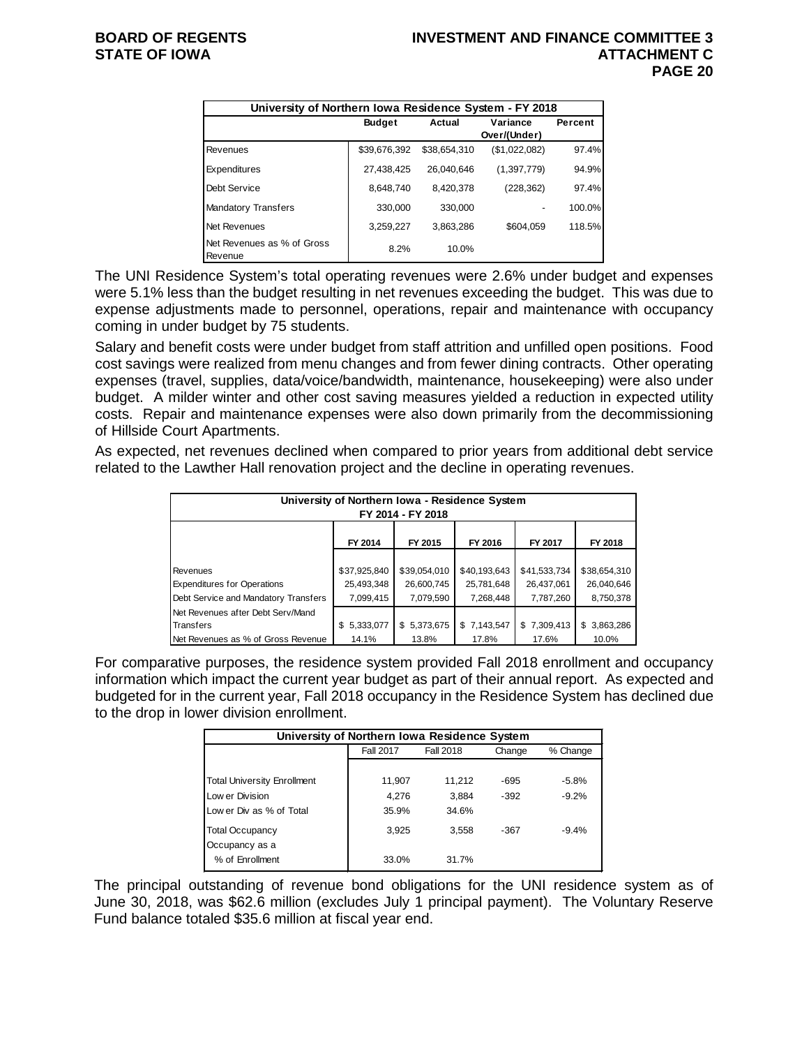|                                       | University of Northern Iowa Residence System - FY 2018 |              |               |         |  |  |  |  |  |
|---------------------------------------|--------------------------------------------------------|--------------|---------------|---------|--|--|--|--|--|
|                                       | <b>Budget</b>                                          | Actual       | Variance      | Percent |  |  |  |  |  |
|                                       |                                                        |              | Over/(Under)  |         |  |  |  |  |  |
| Revenues                              | \$39,676,392                                           | \$38,654,310 | (\$1,022,082) | 97.4%   |  |  |  |  |  |
| <b>Expenditures</b>                   | 27,438,425                                             | 26.040.646   | (1,397,779)   | 94.9%   |  |  |  |  |  |
| Debt Service                          | 8.648.740                                              | 8.420.378    | (228, 362)    | 97.4%   |  |  |  |  |  |
| <b>Mandatory Transfers</b>            | 330,000                                                | 330,000      |               | 100.0%  |  |  |  |  |  |
| Net Revenues                          | 3,259,227                                              | 3.863.286    | \$604,059     | 118.5%  |  |  |  |  |  |
| Net Revenues as % of Gross<br>Revenue | 8.2%                                                   | 10.0%        |               |         |  |  |  |  |  |

The UNI Residence System's total operating revenues were 2.6% under budget and expenses were 5.1% less than the budget resulting in net revenues exceeding the budget. This was due to expense adjustments made to personnel, operations, repair and maintenance with occupancy coming in under budget by 75 students.

Salary and benefit costs were under budget from staff attrition and unfilled open positions. Food cost savings were realized from menu changes and from fewer dining contracts. Other operating expenses (travel, supplies, data/voice/bandwidth, maintenance, housekeeping) were also under budget. A milder winter and other cost saving measures yielded a reduction in expected utility costs. Repair and maintenance expenses were also down primarily from the decommissioning of Hillside Court Apartments.

As expected, net revenues declined when compared to prior years from additional debt service related to the Lawther Hall renovation project and the decline in operating revenues.

| University of Northern Iowa - Residence System<br>FY 2014 - FY 2018 |                  |              |              |              |              |  |  |  |  |
|---------------------------------------------------------------------|------------------|--------------|--------------|--------------|--------------|--|--|--|--|
| FY 2014<br>FY 2016<br>FY 2015<br>FY 2017<br>FY 2018                 |                  |              |              |              |              |  |  |  |  |
|                                                                     |                  |              |              |              |              |  |  |  |  |
| Revenues                                                            | \$37,925,840     | \$39,054,010 | \$40,193,643 | \$41,533,734 | \$38,654,310 |  |  |  |  |
| <b>Expenditures for Operations</b>                                  | 25,493,348       | 26,600,745   | 25,781,648   | 26,437,061   | 26,040,646   |  |  |  |  |
| Debt Service and Mandatory Transfers                                | 7,099,415        | 7,079,590    | 7,268,448    | 7,787,260    | 8,750,378    |  |  |  |  |
| Net Revenues after Debt Serv/Mand                                   |                  |              |              |              |              |  |  |  |  |
| Transfers                                                           | 5,333,077<br>\$. | \$5,373,675  | \$7,143,547  | \$7,309,413  | \$3,863,286  |  |  |  |  |
| Net Revenues as % of Gross Revenue                                  | 14.1%            | 13.8%        | 17.8%        | 17.6%        | 10.0%        |  |  |  |  |

For comparative purposes, the residence system provided Fall 2018 enrollment and occupancy information which impact the current year budget as part of their annual report. As expected and budgeted for in the current year, Fall 2018 occupancy in the Residence System has declined due to the drop in lower division enrollment.

| University of Northern Iowa Residence System |                  |                  |        |          |  |  |  |  |
|----------------------------------------------|------------------|------------------|--------|----------|--|--|--|--|
|                                              | <b>Fall 2017</b> | <b>Fall 2018</b> | Change | % Change |  |  |  |  |
|                                              |                  |                  |        |          |  |  |  |  |
| <b>Total University Enrollment</b>           | 11,907           | 11.212           | $-695$ | $-5.8%$  |  |  |  |  |
| Low er Division                              | 4.276            | 3.884            | $-392$ | $-9.2%$  |  |  |  |  |
| Low er Div as % of Total                     | 35.9%            | 34.6%            |        |          |  |  |  |  |
| <b>Total Occupancy</b><br>Occupancy as a     | 3.925            | 3,558            | $-367$ | $-9.4%$  |  |  |  |  |
| % of Enrollment                              | 33.0%            | 31.7%            |        |          |  |  |  |  |

The principal outstanding of revenue bond obligations for the UNI residence system as of June 30, 2018, was \$62.6 million (excludes July 1 principal payment). The Voluntary Reserve Fund balance totaled \$35.6 million at fiscal year end.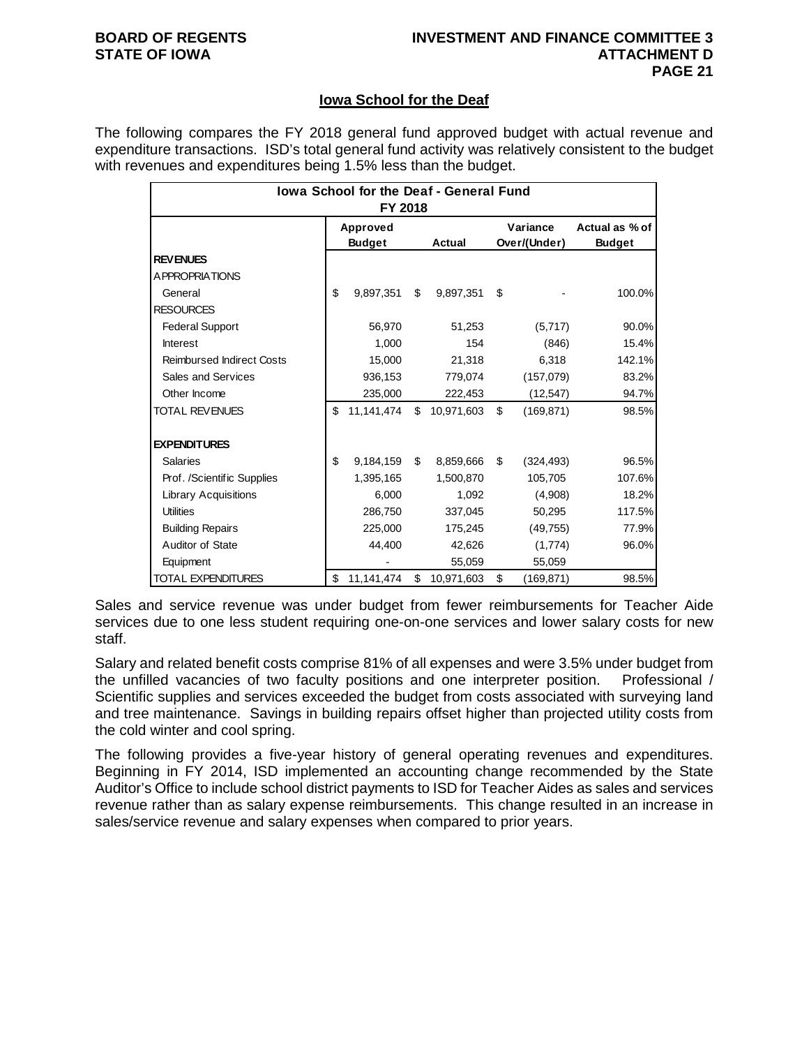#### **Iowa School for the Deaf**

The following compares the FY 2018 general fund approved budget with actual revenue and expenditure transactions. ISD's total general fund activity was relatively consistent to the budget with revenues and expenditures being 1.5% less than the budget.

| lowa School for the Deaf - General Fund<br>FY 2018 |                           |            |        |            |                          |            |                                 |  |
|----------------------------------------------------|---------------------------|------------|--------|------------|--------------------------|------------|---------------------------------|--|
|                                                    | Approved<br><b>Budget</b> |            | Actual |            | Variance<br>Over/(Under) |            | Actual as % of<br><b>Budget</b> |  |
| <b>REVENUES</b>                                    |                           |            |        |            |                          |            |                                 |  |
| <b>APPROPRIATIONS</b>                              |                           |            |        |            |                          |            |                                 |  |
| General                                            | \$                        | 9,897,351  | \$     | 9,897,351  | \$                       |            | 100.0%                          |  |
| <b>RESOURCES</b>                                   |                           |            |        |            |                          |            |                                 |  |
| <b>Federal Support</b>                             |                           | 56,970     |        | 51,253     |                          | (5,717)    | 90.0%                           |  |
| <b>Interest</b>                                    |                           | 1,000      |        | 154        |                          | (846)      | 15.4%                           |  |
| <b>Reimbursed Indirect Costs</b>                   |                           | 15,000     |        | 21,318     |                          | 6,318      | 142.1%                          |  |
| Sales and Services                                 |                           | 936,153    |        | 779,074    |                          | (157,079)  | 83.2%                           |  |
| Other Income                                       |                           | 235,000    |        | 222,453    |                          | (12, 547)  | 94.7%                           |  |
| <b>TOTAL REVENUES</b>                              | \$                        | 11,141,474 | \$     | 10,971,603 | \$                       | (169, 871) | 98.5%                           |  |
| <b>EXPENDITURES</b>                                |                           |            |        |            |                          |            |                                 |  |
| <b>Salaries</b>                                    | \$                        | 9,184,159  | \$.    | 8,859,666  | \$.                      | (324, 493) | 96.5%                           |  |
| Prof. /Scientific Supplies                         |                           | 1,395,165  |        | 1,500,870  |                          | 105,705    | 107.6%                          |  |
| Library Acquisitions                               |                           | 6.000      |        | 1,092      |                          | (4,908)    | 18.2%                           |  |
| <b>Utilities</b>                                   |                           | 286,750    |        | 337,045    |                          | 50,295     | 117.5%                          |  |
| <b>Building Repairs</b>                            |                           | 225,000    |        | 175,245    |                          | (49, 755)  | 77.9%                           |  |
| Auditor of State                                   |                           | 44,400     |        | 42,626     |                          | (1,774)    | 96.0%                           |  |
| Equipment                                          |                           |            |        | 55,059     |                          | 55,059     |                                 |  |
| <b>TOTAL EXPENDITURES</b>                          | \$                        | 11,141,474 | \$     | 10,971,603 | \$                       | (169, 871) | 98.5%                           |  |

Sales and service revenue was under budget from fewer reimbursements for Teacher Aide services due to one less student requiring one-on-one services and lower salary costs for new staff.

Salary and related benefit costs comprise 81% of all expenses and were 3.5% under budget from the unfilled vacancies of two faculty positions and one interpreter position. Professional / Scientific supplies and services exceeded the budget from costs associated with surveying land and tree maintenance. Savings in building repairs offset higher than projected utility costs from the cold winter and cool spring.

The following provides a five-year history of general operating revenues and expenditures. Beginning in FY 2014, ISD implemented an accounting change recommended by the State Auditor's Office to include school district payments to ISD for Teacher Aides as sales and services revenue rather than as salary expense reimbursements. This change resulted in an increase in sales/service revenue and salary expenses when compared to prior years.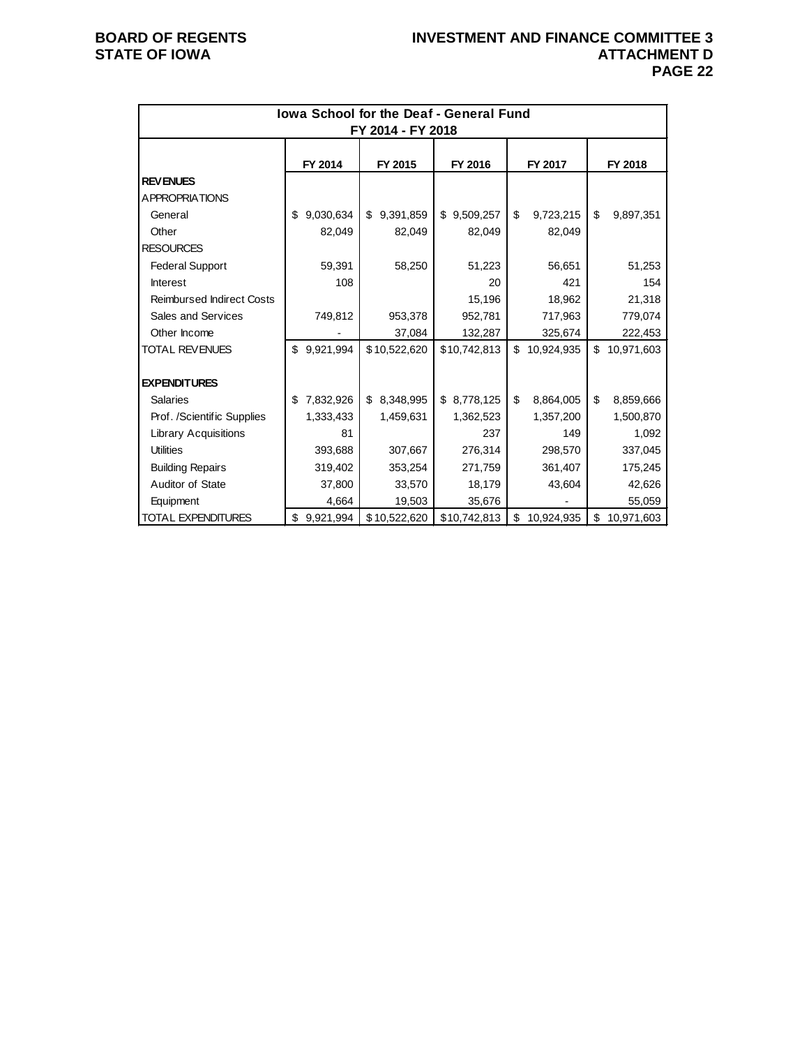| <b>Iowa School for the Deaf - General Fund</b><br>FY 2014 - FY 2018 |                 |              |              |    |            |    |            |  |  |
|---------------------------------------------------------------------|-----------------|--------------|--------------|----|------------|----|------------|--|--|
|                                                                     | FY 2014         | FY 2015      | FY 2016      |    | FY 2017    |    | FY 2018    |  |  |
| <b>REVENUES</b>                                                     |                 |              |              |    |            |    |            |  |  |
| A PPROPRIATIONS                                                     |                 |              |              |    |            |    |            |  |  |
| General                                                             | 9,030,634<br>\$ | \$9,391,859  | \$9,509,257  | \$ | 9,723,215  | \$ | 9,897,351  |  |  |
| Other                                                               | 82,049          | 82,049       | 82,049       |    | 82,049     |    |            |  |  |
| <b>RESOURCES</b>                                                    |                 |              |              |    |            |    |            |  |  |
| <b>Federal Support</b>                                              | 59,391          | 58,250       | 51,223       |    | 56,651     |    | 51,253     |  |  |
| Interest                                                            | 108             |              | 20           |    | 421        |    | 154        |  |  |
| <b>Reimbursed Indirect Costs</b>                                    |                 |              | 15,196       |    | 18,962     |    | 21,318     |  |  |
| Sales and Services                                                  | 749,812         | 953,378      | 952,781      |    | 717,963    |    | 779,074    |  |  |
| Other Income                                                        |                 | 37,084       | 132,287      |    | 325,674    |    | 222,453    |  |  |
| <b>TOTAL REVENUES</b>                                               | \$9,921,994     | \$10,522,620 | \$10,742,813 | \$ | 10,924,935 | \$ | 10,971,603 |  |  |
| <b>EXPENDITURES</b>                                                 |                 |              |              |    |            |    |            |  |  |
| <b>Salaries</b>                                                     | \$7,832,926     | \$ 8,348,995 | \$8,778,125  | \$ | 8,864,005  | \$ | 8,859,666  |  |  |
| Prof. /Scientific Supplies                                          | 1,333,433       | 1,459,631    | 1,362,523    |    | 1,357,200  |    | 1,500,870  |  |  |
| <b>Library Acquisitions</b>                                         | 81              |              | 237          |    | 149        |    | 1,092      |  |  |
| <b>Utilities</b>                                                    | 393,688         | 307,667      | 276.314      |    | 298.570    |    | 337,045    |  |  |
| <b>Building Repairs</b>                                             | 319,402         | 353,254      | 271,759      |    | 361,407    |    | 175,245    |  |  |
| Auditor of State                                                    | 37,800          | 33,570       | 18,179       |    | 43,604     |    | 42,626     |  |  |
| Equipment                                                           | 4,664           | 19,503       | 35,676       |    |            |    | 55,059     |  |  |
| <b>TOTAL EXPENDITURES</b>                                           | 9,921,994<br>\$ | \$10,522,620 | \$10,742,813 | \$ | 10,924,935 | \$ | 10,971,603 |  |  |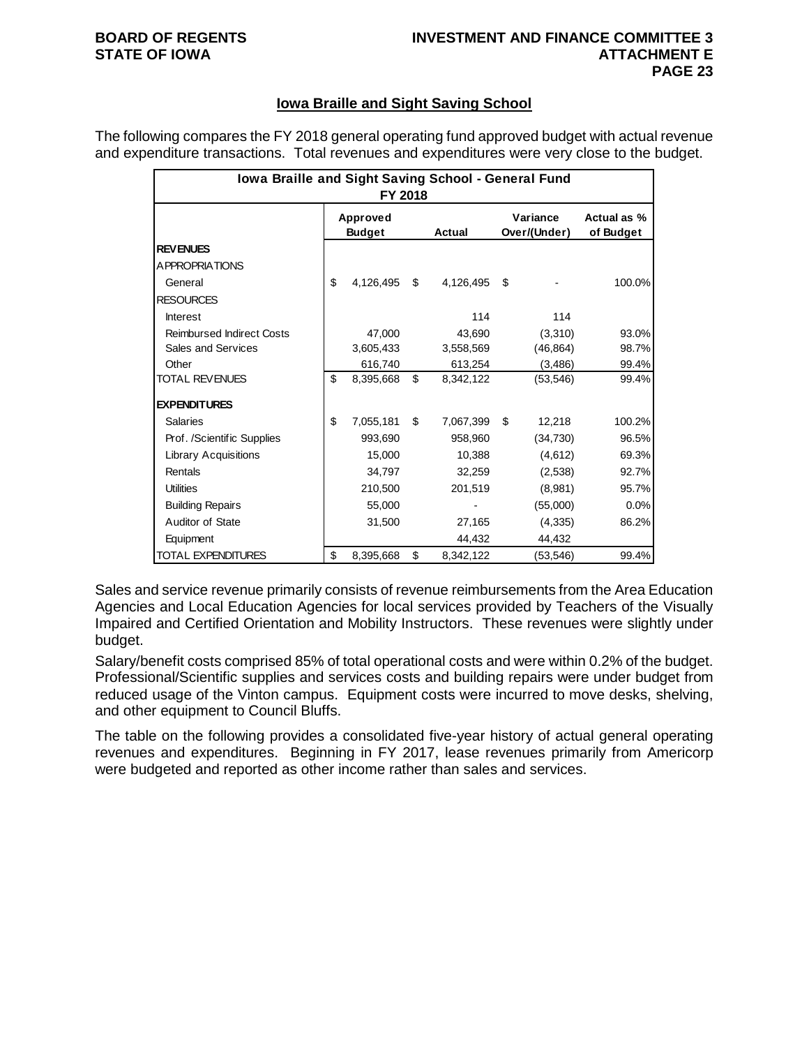# **STATE OF IOWA**

## **BOARD OF REGENTS INVESTMENT AND FINANCE COMMITTEE 3 PAGE 23**

### **Iowa Braille and Sight Saving School**

The following compares the FY 2018 general operating fund approved budget with actual revenue and expenditure transactions. Total revenues and expenditures were very close to the budget.

| Iowa Braille and Sight Saving School - General Fund<br>FY 2018 |                           |           |    |           |                          |           |                          |  |  |
|----------------------------------------------------------------|---------------------------|-----------|----|-----------|--------------------------|-----------|--------------------------|--|--|
|                                                                | Approved<br><b>Budget</b> |           |    | Actual    | Variance<br>Over/(Under) |           | Actual as %<br>of Budget |  |  |
| <b>REVENUES</b>                                                |                           |           |    |           |                          |           |                          |  |  |
| A PPROPRIATIONS                                                |                           |           |    |           |                          |           |                          |  |  |
| General                                                        | \$                        | 4,126,495 | \$ | 4,126,495 | \$                       |           | 100.0%                   |  |  |
| <b>RESOURCES</b>                                               |                           |           |    |           |                          |           |                          |  |  |
| <b>Interest</b>                                                |                           |           |    | 114       |                          | 114       |                          |  |  |
| <b>Reimbursed Indirect Costs</b>                               |                           | 47,000    |    | 43,690    |                          | (3,310)   | 93.0%                    |  |  |
| Sales and Services                                             |                           | 3.605.433 |    | 3,558,569 |                          | (46, 864) | 98.7%                    |  |  |
| Other                                                          |                           | 616,740   |    | 613,254   |                          | (3,486)   | 99.4%                    |  |  |
| <b>TOTAL REVENUES</b>                                          | \$                        | 8,395,668 | \$ | 8,342,122 |                          | (53, 546) | 99.4%                    |  |  |
| <b>EXPENDITURES</b>                                            |                           |           |    |           |                          |           |                          |  |  |
| <b>Salaries</b>                                                | \$                        | 7,055,181 | \$ | 7,067,399 | \$                       | 12,218    | 100.2%                   |  |  |
| Prof. /Scientific Supplies                                     |                           | 993,690   |    | 958,960   |                          | (34,730)  | 96.5%                    |  |  |
| <b>Library Acquisitions</b>                                    |                           | 15,000    |    | 10,388    |                          | (4,612)   | 69.3%                    |  |  |
| Rentals                                                        |                           | 34,797    |    | 32,259    |                          | (2,538)   | 92.7%                    |  |  |
| <b>Utilities</b>                                               |                           | 210.500   |    | 201.519   |                          | (8,981)   | 95.7%                    |  |  |
| <b>Building Repairs</b>                                        |                           | 55,000    |    |           |                          | (55,000)  | 0.0%                     |  |  |
| Auditor of State                                               |                           | 31,500    |    | 27,165    |                          | (4,335)   | 86.2%                    |  |  |
| Equipment                                                      |                           |           |    | 44,432    |                          | 44,432    |                          |  |  |
| <b>TOTAL EXPENDITURES</b>                                      | \$                        | 8,395,668 | \$ | 8,342,122 |                          | (53,546)  | 99.4%                    |  |  |

Sales and service revenue primarily consists of revenue reimbursements from the Area Education Agencies and Local Education Agencies for local services provided by Teachers of the Visually Impaired and Certified Orientation and Mobility Instructors. These revenues were slightly under budget.

Salary/benefit costs comprised 85% of total operational costs and were within 0.2% of the budget. Professional/Scientific supplies and services costs and building repairs were under budget from reduced usage of the Vinton campus. Equipment costs were incurred to move desks, shelving, and other equipment to Council Bluffs.

The table on the following provides a consolidated five-year history of actual general operating revenues and expenditures. Beginning in FY 2017, lease revenues primarily from Americorp were budgeted and reported as other income rather than sales and services.